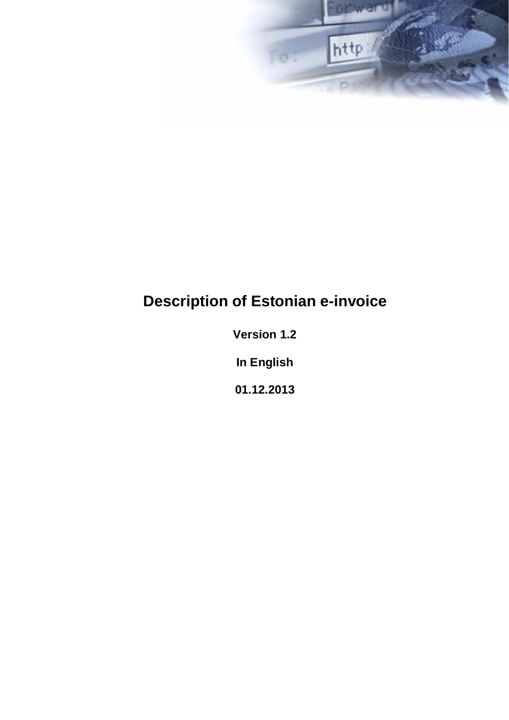

# **Description of Estonian e-invoice**

**Version 1.2**

**In English**

**01.12.2013**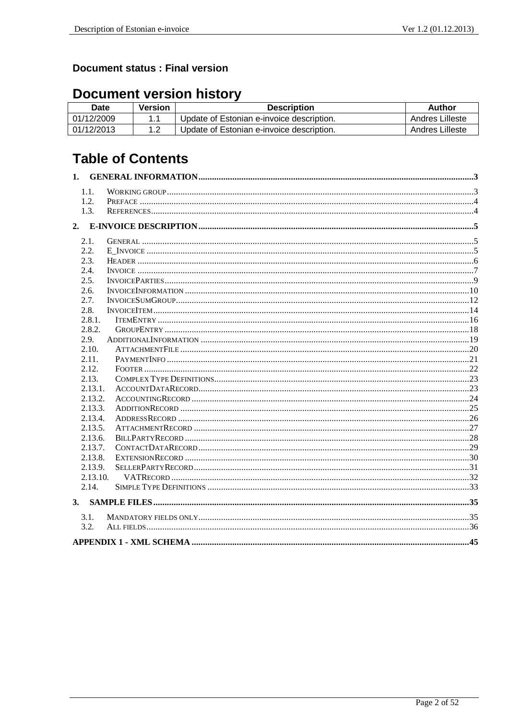### **Document status : Final version**

# **Document version history**

| Date       | Version | <b>Description</b>                        | Author          |
|------------|---------|-------------------------------------------|-----------------|
| 01/12/2009 |         | Update of Estonian e-invoice description. | Andres Lilleste |
| 01/12/2013 |         | Update of Estonian e-invoice description. | Andres Lilleste |

# **Table of Contents**

|    | 1.1.     |  |
|----|----------|--|
|    | 1.2.     |  |
|    | 1.3.     |  |
|    |          |  |
|    | 2.1.     |  |
|    | 2.2.     |  |
|    | 2.3.     |  |
|    | 2.4.     |  |
|    | 2.5.     |  |
|    | 2.6.     |  |
|    | 2.7.     |  |
|    | 2.8.     |  |
|    | 2.8.1.   |  |
|    | 2.8.2.   |  |
|    | 2.9.     |  |
|    | 2.10.    |  |
|    | 2.11.    |  |
|    | 2.12.    |  |
|    | 2.13.    |  |
|    | 2.13.1.  |  |
|    | 2.13.2.  |  |
|    | 2.13.3.  |  |
|    | 2.13.4.  |  |
|    | 2.13.5.  |  |
|    | 2.13.6.  |  |
|    | 2.13.7.  |  |
|    | 2.13.8.  |  |
|    | 2.13.9.  |  |
|    | 2.13.10. |  |
|    | 2.14.    |  |
| 3. |          |  |
|    | 3.1.     |  |
|    | 3.2.     |  |
|    |          |  |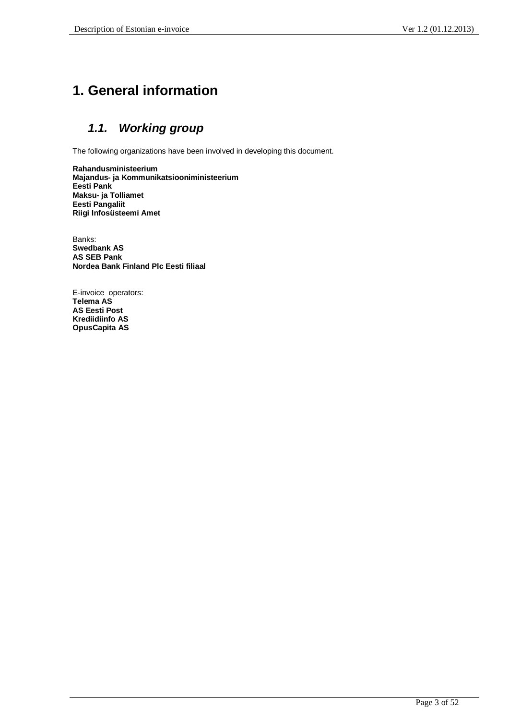# **1. General information**

# *1.1. Working group*

The following organizations have been involved in developing this document.

**Rahandusministeerium Majandus- ja Kommunikatsiooniministeerium Eesti Pank Maksu- ja Tolliamet Eesti Pangaliit Riigi Infosüsteemi Amet**

Banks: **Swedbank AS AS SEB Pank Nordea Bank Finland Plc Eesti filiaal**

E-invoice operators: **Telema AS AS Eesti Post Krediidiinfo AS OpusCapita AS**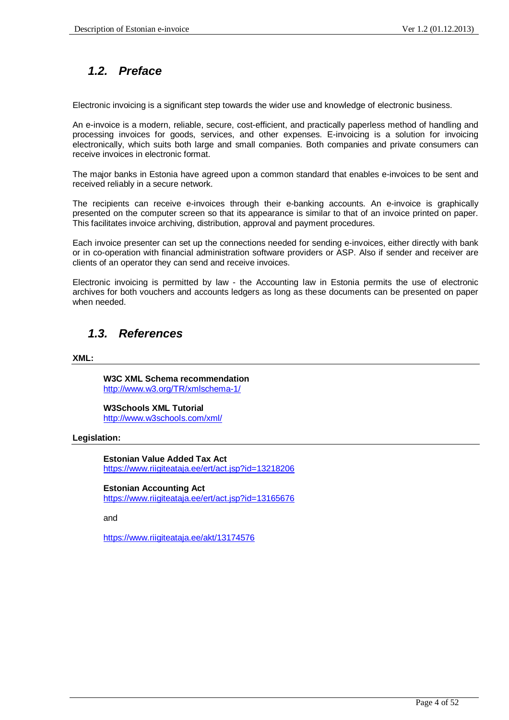# *1.2. Preface*

Electronic invoicing is a significant step towards the wider use and knowledge of electronic business.

An e-invoice is a modern, reliable, secure, cost-efficient, and practically paperless method of handling and processing invoices for goods, services, and other expenses. E-invoicing is a solution for invoicing electronically, which suits both large and small companies. Both companies and private consumers can receive invoices in electronic format.

The major banks in Estonia have agreed upon a common standard that enables e-invoices to be sent and received reliably in a secure network.

The recipients can receive e-invoices through their e-banking accounts. An e-invoice is graphically presented on the computer screen so that its appearance is similar to that of an invoice printed on paper. This facilitates invoice archiving, distribution, approval and payment procedures.

Each invoice presenter can set up the connections needed for sending e-invoices, either directly with bank or in co-operation with financial administration software providers or ASP. Also if sender and receiver are clients of an operator they can send and receive invoices.

Electronic invoicing is permitted by law - the Accounting law in Estonia permits the use of electronic archives for both vouchers and accounts ledgers as long as these documents can be presented on paper when needed.

### *1.3. References*

**XML:**

**W3C XML Schema recommendation** http://www.w3.org/TR/xmlschema-1/

**W3Schools XML Tutorial** http://www.w3schools.com/xml/

### **Legislation:**

**Estonian Value Added Tax Act** https://www.riigiteataja.ee/ert/act.jsp?id=13218206

#### **Estonian Accounting Act**

https://www.riigiteataja.ee/ert/act.jsp?id=13165676

and

https://www.riigiteataja.ee/akt/13174576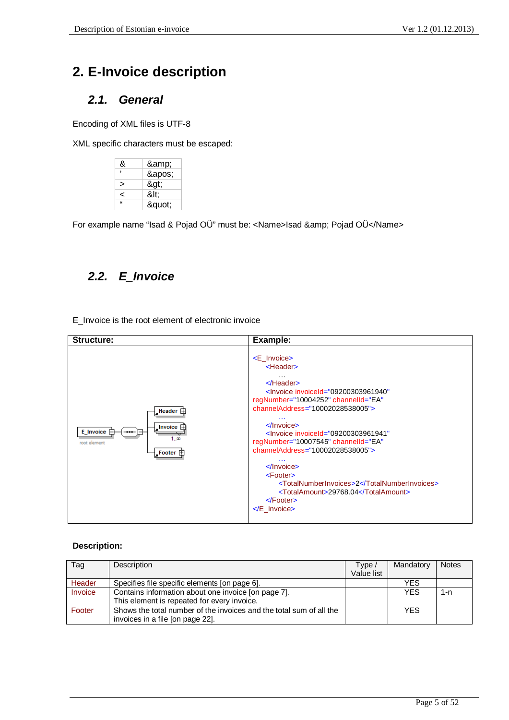# **2. E-Invoice description**

### *2.1. General*

Encoding of XML files is UTF-8

XML specific characters must be escaped:

| &          | &  |
|------------|----|
|            | '  |
|            | >  |
|            | <: |
| $\epsilon$ | "  |

For example name "Isad & Pojad OÜ" must be: <Name>Isad &amp; Pojad OÜ</Name>

# *2.2. E\_Invoice*

E\_Invoice is the root element of electronic invoice

| <b>Structure:</b>                                                                       | Example:                                                                                                                                                                                                                                                                                                                                                                                                                                                                                                                                                                                                                                                            |
|-----------------------------------------------------------------------------------------|---------------------------------------------------------------------------------------------------------------------------------------------------------------------------------------------------------------------------------------------------------------------------------------------------------------------------------------------------------------------------------------------------------------------------------------------------------------------------------------------------------------------------------------------------------------------------------------------------------------------------------------------------------------------|
| Header $\Box$<br>_Invoice $\boxplus$<br>E_Invoice<br>œ<br>root element<br>Footer $\Box$ | <e invoice=""><br/><header><br/><math>\cdots</math><br/><math>\le</math>/Header&gt;<br/>regNumber="10004252" channelld="EA"<br/><math>channelAddress = "10002028538005"</math><br/><math>\cdots</math><br/><math>\langle</math>Invoice&gt;<br/><lnvoice <br="" d="09200303961941" invoice="">regNumber="10007545" channelld="EA"<br/>channelAddress="10002028538005"&gt;<br/><math>\cdots</math><br/><math>\langle</math>Invoice&gt;<br/><math>&lt;</math>Footer<math>&gt;</math><br/><totalnumberinvoices>2</totalnumberinvoices><br/><totalamount>29768.04</totalamount><br/><math>\le</math>Footer&gt;<br/><math>\lt</math>/E Invoice&gt;</lnvoice></header></e> |

| Tag     | Description                                                         | Type /     | Mandatory  | <b>Notes</b> |
|---------|---------------------------------------------------------------------|------------|------------|--------------|
|         |                                                                     | Value list |            |              |
| Header  | Specifies file specific elements [on page 6].                       |            | <b>YES</b> |              |
| Invoice | Contains information about one invoice [on page 7].                 |            | YES        | 1-n          |
|         | This element is repeated for every invoice.                         |            |            |              |
| Footer  | Shows the total number of the invoices and the total sum of all the |            | <b>YES</b> |              |
|         | invoices in a file (on page 22).                                    |            |            |              |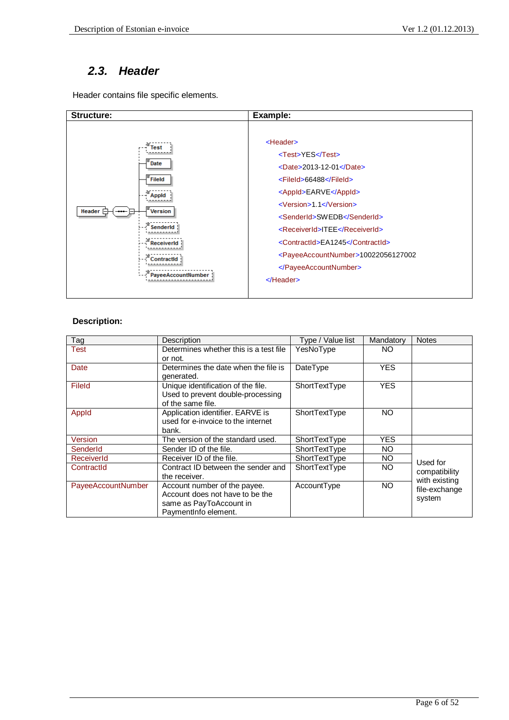### *2.3. Header*

Header contains file specific elements.

| <b>Structure:</b>                                                                                                          | Example:                                                                                                                                                                                                                                                                                                                                                                                                                   |
|----------------------------------------------------------------------------------------------------------------------------|----------------------------------------------------------------------------------------------------------------------------------------------------------------------------------------------------------------------------------------------------------------------------------------------------------------------------------------------------------------------------------------------------------------------------|
| Test<br>Date<br>Fileld<br><b>Appid</b><br>Header $\equiv$<br><b>Version</b><br>ienderld<br>ontractid<br>PayeeAccountNumber | <header><br/><test>YES</test><br/><date>2013-12-01</date><br/><fileid>66488</fileid><br/><appid>EARVE</appid><br/><math>\langle \text{Version} \rangle</math>1.1<math>\langle \text{Version} \rangle</math><br/><senderid>SWEDB</senderid><br/><receiverid>ITEE</receiverid><br/><contractid>EA1245</contractid><br/><payeeaccountnumber>10022056127002<br/></payeeaccountnumber><br/><math>\le</math>/Header&gt;</header> |

| Tag                | Description                            | Type / Value list | Mandatory  | <b>Notes</b>  |
|--------------------|----------------------------------------|-------------------|------------|---------------|
| Test               | Determines whether this is a test file | YesNoType         | NO.        |               |
|                    | or not.                                |                   |            |               |
| Date               | Determines the date when the file is   | DateType          | YES        |               |
|                    | generated.                             |                   |            |               |
| <b>FileId</b>      | Unique identification of the file.     | ShortTextType     | <b>YES</b> |               |
|                    | Used to prevent double-processing      |                   |            |               |
|                    | of the same file.                      |                   |            |               |
| Appld              | Application identifier. EARVE is       | ShortTextType     | NO.        |               |
|                    | used for e-invoice to the internet     |                   |            |               |
|                    | bank.                                  |                   |            |               |
| Version            | The version of the standard used.      | ShortTextType     | YES        |               |
| SenderId           | Sender ID of the file.                 | ShortTextType     | NO         |               |
| ReceiverId         | Receiver ID of the file.               | ShortTextType     | NO.        | Used for      |
| ContractId         | Contract ID between the sender and     | ShortTextType     | NO.        | compatibility |
|                    | the receiver.                          |                   |            | with existing |
| PayeeAccountNumber | Account number of the payee.           | AccountType       | <b>NO</b>  | file-exchange |
|                    | Account does not have to be the        |                   |            | system        |
|                    | same as PayToAccount in                |                   |            |               |
|                    | PaymentInfo element.                   |                   |            |               |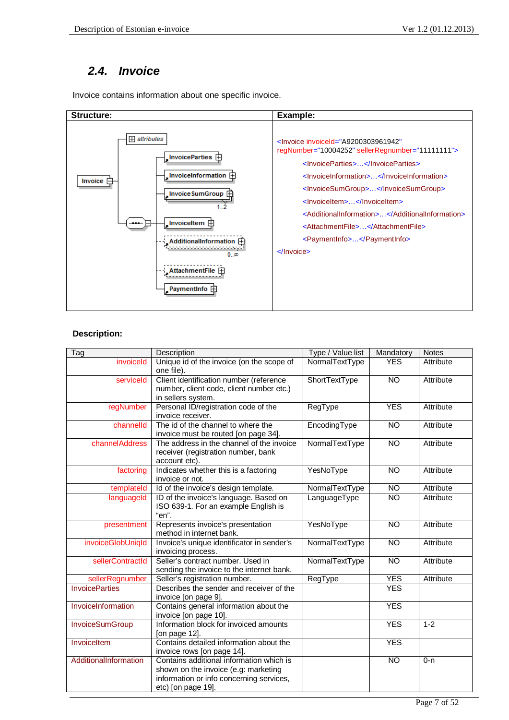### *2.4. Invoice*

Invoice contains information about one specific invoice.



| $\overline{\mathsf{T}}$ ag | Description                                                                                                                                        | Type / Value list    | Mandatory      | <b>Notes</b> |
|----------------------------|----------------------------------------------------------------------------------------------------------------------------------------------------|----------------------|----------------|--------------|
| invoiceld                  | Unique id of the invoice (on the scope of<br>one file).                                                                                            | NormalTextType       | <b>YES</b>     | Attribute    |
| serviceld                  | Client identification number (reference<br>number, client code, client number etc.)<br>in sellers system.                                          | <b>ShortTextType</b> | <b>NO</b>      | Attribute    |
| regNumber                  | Personal ID/registration code of the<br>invoice receiver.                                                                                          | RegType              | <b>YES</b>     | Attribute    |
| channelld                  | The id of the channel to where the<br>invoice must be routed [on page 34].                                                                         | EncodingType         | NO             | Attribute    |
| channelAddress             | The address in the channel of the invoice<br>receiver (registration number, bank<br>account etc).                                                  | NormalTextType       | NO             | Attribute    |
| factoring                  | Indicates whether this is a factoring<br>invoice or not.                                                                                           | YesNoType            | <b>NO</b>      | Attribute    |
| templateId                 | Id of the invoice's design template.                                                                                                               | NormalTextType       | <b>NO</b>      | Attribute    |
| languageld                 | ID of the invoice's language. Based on<br>ISO 639-1. For an example English is<br>"en".                                                            | LanguageType         | NO             | Attribute    |
| presentment                | Represents invoice's presentation<br>method in internet bank.                                                                                      | YesNoType            | <b>NO</b>      | Attribute    |
| invoiceGlobUniqId          | Invoice's unique identificator in sender's<br>invoicing process.                                                                                   | NormalTextType       | <b>NO</b>      | Attribute    |
| sellerContractId           | Seller's contract number. Used in<br>sending the invoice to the internet bank.                                                                     | NormalTextType       | N <sub>O</sub> | Attribute    |
| sellerRegnumber            | Seller's registration number.                                                                                                                      | RegType              | <b>YES</b>     | Attribute    |
| <b>InvoiceParties</b>      | Describes the sender and receiver of the<br>invoice [on page 9].                                                                                   |                      | <b>YES</b>     |              |
| InvoiceInformation         | Contains general information about the<br>invoice [on page 10].                                                                                    |                      | <b>YES</b>     |              |
| InvoiceSumGroup            | Information block for invoiced amounts<br>[on page 12].                                                                                            |                      | <b>YES</b>     | $1 - 2$      |
| Invoiceltem                | Contains detailed information about the<br>invoice rows [on page 14].                                                                              |                      | <b>YES</b>     |              |
| AdditionalInformation      | Contains additional information which is<br>shown on the invoice (e.g: marketing<br>information or info concerning services,<br>etc) [on page 19]. |                      | <b>NO</b>      | $0 - n$      |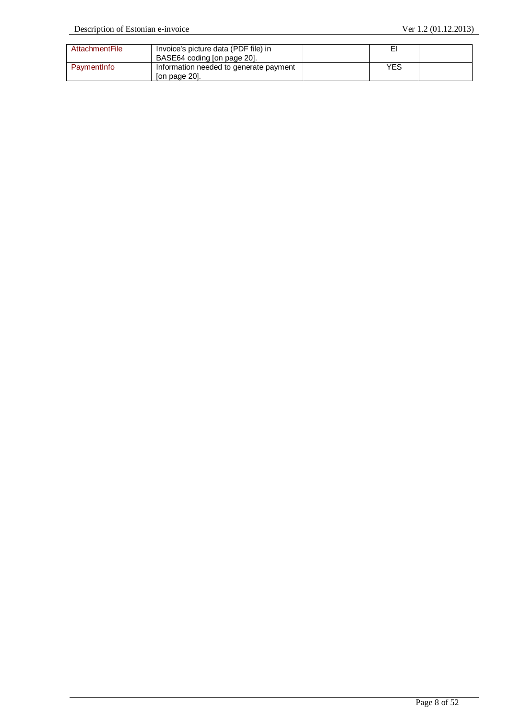| AttachmentFile | Invoice's picture data (PDF file) in<br>BASE64 coding [on page 20]. | E۱  |  |
|----------------|---------------------------------------------------------------------|-----|--|
| PaymentInfo    | Information needed to generate payment<br>[on page 20].             | YES |  |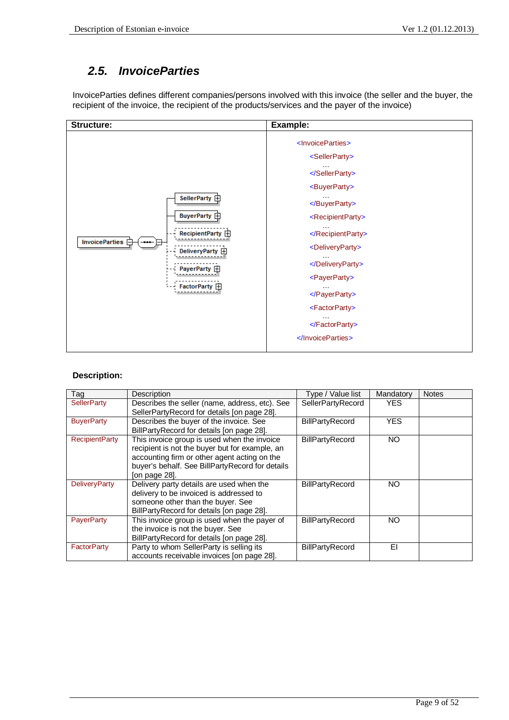### *2.5. InvoiceParties*

InvoiceParties defines different companies/persons involved with this invoice (the seller and the buyer, the recipient of the invoice, the recipient of the products/services and the payer of the invoice)



| Tag                   | Description                                     | Type / Value list      | Mandatory  | <b>Notes</b> |
|-----------------------|-------------------------------------------------|------------------------|------------|--------------|
| <b>SellerParty</b>    | Describes the seller (name, address, etc). See  | SellerPartyRecord      | <b>YES</b> |              |
|                       | SellerPartyRecord for details [on page 28].     |                        |            |              |
| <b>BuyerParty</b>     | Describes the buyer of the invoice. See         | <b>BillPartyRecord</b> | <b>YES</b> |              |
|                       | BillPartyRecord for details [on page 28].       |                        |            |              |
| <b>RecipientParty</b> | This invoice group is used when the invoice     | <b>BillPartyRecord</b> | NO.        |              |
|                       | recipient is not the buyer but for example, an  |                        |            |              |
|                       | accounting firm or other agent acting on the    |                        |            |              |
|                       | buyer's behalf. See BillPartyRecord for details |                        |            |              |
|                       | [on page 28].                                   |                        |            |              |
| <b>DeliveryParty</b>  | Delivery party details are used when the        | BillPartyRecord        | NO.        |              |
|                       | delivery to be invoiced is addressed to         |                        |            |              |
|                       | someone other than the buyer. See               |                        |            |              |
|                       | BillPartyRecord for details [on page 28].       |                        |            |              |
| <b>PayerParty</b>     | This invoice group is used when the payer of    | <b>BillPartyRecord</b> | NO         |              |
|                       | the invoice is not the buyer. See               |                        |            |              |
|                       | BillPartyRecord for details [on page 28].       |                        |            |              |
| <b>FactorParty</b>    | Party to whom SellerParty is selling its        | BillPartyRecord        | EI         |              |
|                       | accounts receivable invoices [on page 28].      |                        |            |              |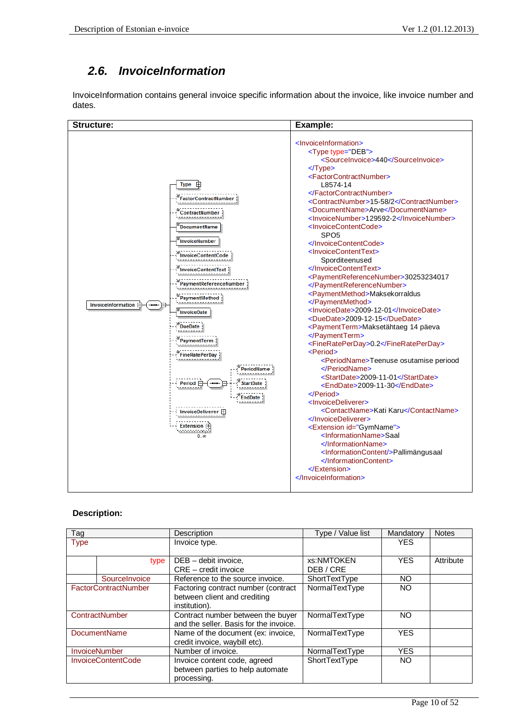# *2.6. InvoiceInformation*

InvoiceInformation contains general invoice specific information about the invoice, like invoice number and dates.

| <b>Structure:</b>                                                                                                                                                                                                                                                                                                                                                                                                                               | Example:                                                                                                                                                                                                                                                                                                                                                                                                                                                                                                                                                                                                                                                                                                                                                                                                                                                                                                                                                                                                                                                                                                                                                                                                                                                                                                                                               |
|-------------------------------------------------------------------------------------------------------------------------------------------------------------------------------------------------------------------------------------------------------------------------------------------------------------------------------------------------------------------------------------------------------------------------------------------------|--------------------------------------------------------------------------------------------------------------------------------------------------------------------------------------------------------------------------------------------------------------------------------------------------------------------------------------------------------------------------------------------------------------------------------------------------------------------------------------------------------------------------------------------------------------------------------------------------------------------------------------------------------------------------------------------------------------------------------------------------------------------------------------------------------------------------------------------------------------------------------------------------------------------------------------------------------------------------------------------------------------------------------------------------------------------------------------------------------------------------------------------------------------------------------------------------------------------------------------------------------------------------------------------------------------------------------------------------------|
| <b>Type</b><br><b>FactorContractNumber</b><br>ContractNumber<br><b>DocumentName</b><br><b>InvoiceNumber</b><br>nvoiceContentCode<br>nvoiceContentText<br>'aymentReferenceNumber<br>PaymentMethod<br>InvoiceInformation F<br><b>InvoiceDate</b><br><b>DueDate</b><br>PaymentTerm<br><b>FineRatePerDay</b><br>PeriodName<br>Period $\sqsubset$<br><b>StartDate</b><br><b>EndDate</b><br>InvoiceDeliverer <b>FI</b><br>Extension $\boxplus$<br>0.5 | <lnvoiceinformation><br/><type type="DEB"><br/><sourceinvoice>440</sourceinvoice><br/><math>\langle</math>Type<math>&gt;</math><br/><factorcontractnumber><br/>L8574-14<br/></factorcontractnumber><br/><contractnumber>15-58/2</contractnumber><br/><documentname>Arve</documentname><br/><invoicenumber>129592-2</invoicenumber><br/><invoicecontentcode><br/>SPO<sub>5</sub><br/></invoicecontentcode><br/><invoicecontenttext><br/>Sporditeenused<br/></invoicecontenttext><br/><paymentreferencenumber>30253234017<br/></paymentreferencenumber><br/><paymentmethod>Maksekorraldus<br/></paymentmethod><br/><lnvoicedate>2009-12-01</lnvoicedate><br/><duedate>2009-12-15</duedate><br/><paymentterm>Maksetähtaeg 14 päeva<br/></paymentterm><br/><finerateperday>0.2</finerateperday><br/><period><br/><periodname>Teenuse osutamise periood<br/></periodname><br/><startdate>2009-11-01</startdate><br/><enddate>2009-11-30</enddate><br/><math>\le</math>/Period&gt;<br/><invoicedeliverer><br/><contactname>Kati Karu</contactname><br/></invoicedeliverer><br/><extension id="GymName"><br/><informationname>Saal<br/></informationname><br/><informationcontent></informationcontent>Pallimängusaal<br/><br/><math>\le</math>/Extension&gt;<br/><math>\langle</math>InvoiceInformation&gt;</extension></period></type></lnvoiceinformation> |

| Tag                       |                             | Description                            | Type / Value list | Mandatory  | <b>Notes</b> |
|---------------------------|-----------------------------|----------------------------------------|-------------------|------------|--------------|
| <b>Type</b>               |                             | Invoice type.                          |                   | <b>YES</b> |              |
|                           |                             |                                        |                   |            |              |
|                           | type                        | DEB - debit invoice,                   | xs:NMTOKEN        | <b>YES</b> | Attribute    |
|                           |                             | $CRE - credit$ invoice                 | DEB/CRE           |            |              |
|                           | Sourcelnvoice               | Reference to the source invoice.       | ShortTextType     | NO.        |              |
|                           | <b>FactorContractNumber</b> | Factoring contract number (contract    | NormalTextType    | NO.        |              |
|                           |                             | between client and crediting           |                   |            |              |
|                           |                             | institution).                          |                   |            |              |
|                           | <b>ContractNumber</b>       | Contract number between the buyer      | NormalTextType    | NO         |              |
|                           |                             | and the seller. Basis for the invoice. |                   |            |              |
| <b>DocumentName</b>       |                             | Name of the document (ex: invoice,     | NormalTextType    | <b>YES</b> |              |
|                           |                             | credit invoice, waybill etc).          |                   |            |              |
| <b>InvoiceNumber</b>      |                             | Number of invoice.                     | NormalTextType    | <b>YES</b> |              |
| <b>InvoiceContentCode</b> |                             | Invoice content code, agreed           | ShortTextType     | NO.        |              |
|                           |                             | between parties to help automate       |                   |            |              |
|                           |                             | processing.                            |                   |            |              |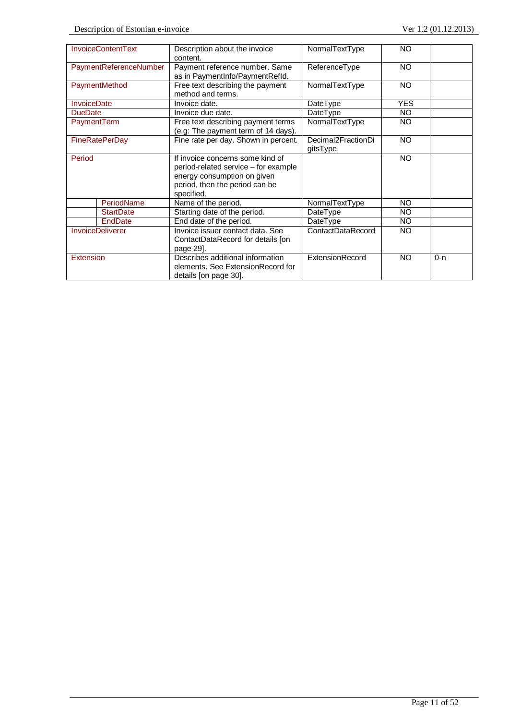|                    | <b>InvoiceContentText</b> | Description about the invoice<br>content.                                                                                                               | NormalTextType                 | NO.        |         |
|--------------------|---------------------------|---------------------------------------------------------------------------------------------------------------------------------------------------------|--------------------------------|------------|---------|
|                    | PaymentReferenceNumber    | Payment reference number. Same<br>as in PaymentInfo/PaymentRefId.                                                                                       | ReferenceType                  | <b>NO</b>  |         |
|                    | PaymentMethod             | Free text describing the payment<br>method and terms.                                                                                                   | NormalTextType                 | NO.        |         |
| <b>InvoiceDate</b> |                           | Invoice date.                                                                                                                                           | DateType                       | <b>YES</b> |         |
| <b>DueDate</b>     |                           | Invoice due date.                                                                                                                                       | DateType                       | NO.        |         |
| PaymentTerm        |                           | Free text describing payment terms<br>(e.g: The payment term of 14 days).                                                                               | NormalTextType                 | NO.        |         |
|                    | <b>FineRatePerDay</b>     | Fine rate per day. Shown in percent.                                                                                                                    | Decimal2FractionDi<br>gitsType | <b>NO</b>  |         |
| Period             |                           | If invoice concerns some kind of<br>period-related service – for example<br>energy consumption on given<br>period, then the period can be<br>specified. |                                | <b>NO</b>  |         |
|                    | PeriodName                | Name of the period.                                                                                                                                     | NormalTextType                 | <b>NO</b>  |         |
|                    | <b>StartDate</b>          | Starting date of the period.                                                                                                                            | DateType                       | NO.        |         |
|                    | EndDate                   | End date of the period.                                                                                                                                 | DateType                       | NO.        |         |
|                    | <b>InvoiceDeliverer</b>   | Invoice issuer contact data. See<br>ContactDataRecord for details [on<br>page 29.                                                                       | ContactDataRecord              | NO.        |         |
| Extension          |                           | Describes additional information<br>elements. See ExtensionRecord for<br>details [on page 30].                                                          | ExtensionRecord                | <b>NO</b>  | $0 - n$ |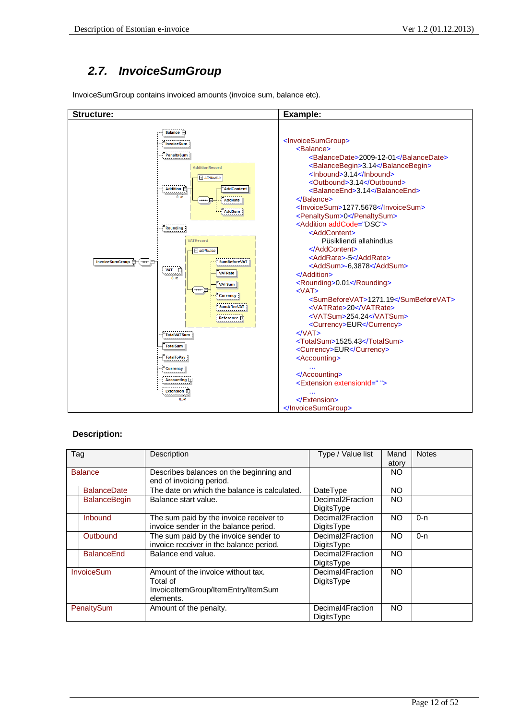# *2.7. InvoiceSumGroup*

InvoiceSumGroup contains invoiced amounts (invoice sum, balance etc).



| Tag                 | Description                                                                                       | Type / Value list              | Mand         | <b>Notes</b> |
|---------------------|---------------------------------------------------------------------------------------------------|--------------------------------|--------------|--------------|
| <b>Balance</b>      |                                                                                                   |                                | atory<br>NO. |              |
|                     | Describes balances on the beginning and<br>end of invoicing period.                               |                                |              |              |
| <b>BalanceDate</b>  | The date on which the balance is calculated.                                                      | DateType                       | <b>NO</b>    |              |
| <b>BalanceBegin</b> | Balance start value.                                                                              | Decimal2Fraction<br>DigitsType | NO.          |              |
| Inbound             | The sum paid by the invoice receiver to<br>invoice sender in the balance period.                  | Decimal2Fraction<br>DigitsType | <b>NO</b>    | $0 - n$      |
| Outbound            | The sum paid by the invoice sender to<br>invoice receiver in the balance period.                  | Decimal2Fraction<br>DigitsType | <b>NO</b>    | $0 - n$      |
| <b>BalanceEnd</b>   | Balance end value.                                                                                | Decimal2Fraction<br>DigitsType | <b>NO</b>    |              |
| InvoiceSum          | Amount of the invoice without tax.<br>Total of<br>InvoiceItemGroup/ItemEntry/ItemSum<br>elements. | Decimal4Fraction<br>DigitsType | <b>NO</b>    |              |
| PenaltySum          | Amount of the penalty.                                                                            | Decimal4Fraction<br>DigitsType | NO           |              |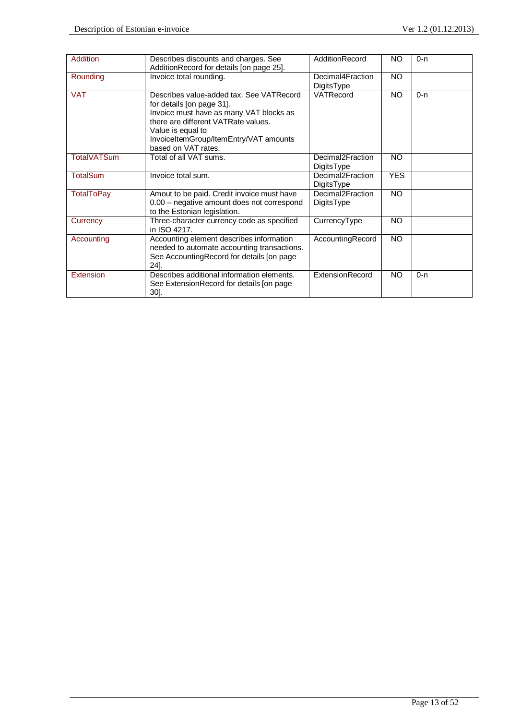| <b>Addition</b>    | Describes discounts and charges. See        | AdditionRecord   | NO         | $0 - n$ |
|--------------------|---------------------------------------------|------------------|------------|---------|
|                    | AdditionRecord for details [on page 25].    |                  |            |         |
| Rounding           | Invoice total rounding.                     | Decimal4Fraction | <b>NO</b>  |         |
|                    |                                             | DigitsType       |            |         |
| <b>VAT</b>         | Describes value-added tax. See VATRecord    | VATRecord        | <b>NO</b>  | $0 - n$ |
|                    | for details [on page 31].                   |                  |            |         |
|                    | Invoice must have as many VAT blocks as     |                  |            |         |
|                    | there are different VATRate values.         |                  |            |         |
|                    |                                             |                  |            |         |
|                    | Value is equal to                           |                  |            |         |
|                    | InvoiceItemGroup/ItemEntry/VAT amounts      |                  |            |         |
|                    | based on VAT rates.                         |                  |            |         |
| <b>TotalVATSum</b> | Total of all VAT sums.                      | Decimal2Fraction | <b>NO</b>  |         |
|                    |                                             | DigitsType       |            |         |
| <b>TotalSum</b>    | Invoice total sum.                          | Decimal2Fraction | <b>YES</b> |         |
|                    |                                             | DigitsType       |            |         |
| <b>TotalToPay</b>  | Amout to be paid. Credit invoice must have  | Decimal2Fraction | <b>NO</b>  |         |
|                    | 0.00 - negative amount does not correspond  | DigitsType       |            |         |
|                    | to the Estonian legislation.                |                  |            |         |
| Currency           | Three-character currency code as specified  | CurrencyType     | <b>NO</b>  |         |
|                    | in ISO 4217.                                |                  |            |         |
| Accounting         | Accounting element describes information    | AccountingRecord | <b>NO</b>  |         |
|                    | needed to automate accounting transactions. |                  |            |         |
|                    | See AccountingRecord for details [on page   |                  |            |         |
|                    | 24].                                        |                  |            |         |
|                    |                                             |                  |            |         |
| <b>Extension</b>   | Describes additional information elements.  | ExtensionRecord  | <b>NO</b>  | $0 - n$ |
|                    | See ExtensionRecord for details [on page]   |                  |            |         |
|                    | $30$ ].                                     |                  |            |         |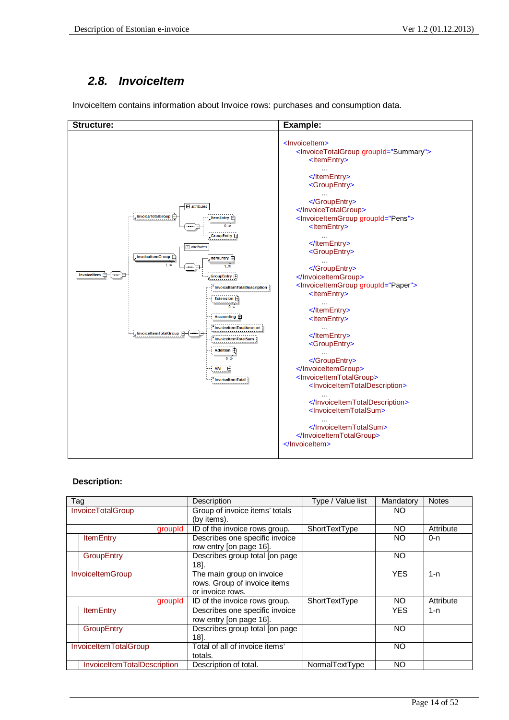## *2.8. InvoiceItem*

InvoiceItem contains information about Invoice rows: purchases and consumption data.



| Tag                         | Description                    | Type / Value list | Mandatory  | <b>Notes</b> |
|-----------------------------|--------------------------------|-------------------|------------|--------------|
| <b>InvoiceTotalGroup</b>    | Group of invoice items' totals |                   | NO.        |              |
|                             | (by items).                    |                   |            |              |
| groupId                     | ID of the invoice rows group.  | ShortTextType     | NO.        | Attribute    |
| <b>ItemEntry</b>            | Describes one specific invoice |                   | NO.        | $0 - n$      |
|                             | row entry [on page 16].        |                   |            |              |
| <b>GroupEntry</b>           | Describes group total [on page |                   | <b>NO</b>  |              |
|                             | 18].                           |                   |            |              |
| InvoiceItemGroup            | The main group on invoice      |                   | <b>YES</b> | $1 - n$      |
|                             | rows. Group of invoice items   |                   |            |              |
|                             | or invoice rows.               |                   |            |              |
| groupId                     | ID of the invoice rows group.  | ShortTextType     | NO.        | Attribute    |
| <b>ItemEntry</b>            | Describes one specific invoice |                   | YES        | $1 - n$      |
|                             | row entry [on page 16].        |                   |            |              |
| <b>GroupEntry</b>           | Describes group total [on page |                   | NO         |              |
|                             | 181.                           |                   |            |              |
| InvoiceItemTotalGroup       | Total of all of invoice items' |                   | NO         |              |
|                             | totals.                        |                   |            |              |
| InvoiceItemTotalDescription | Description of total.          | NormalTextType    | NO         |              |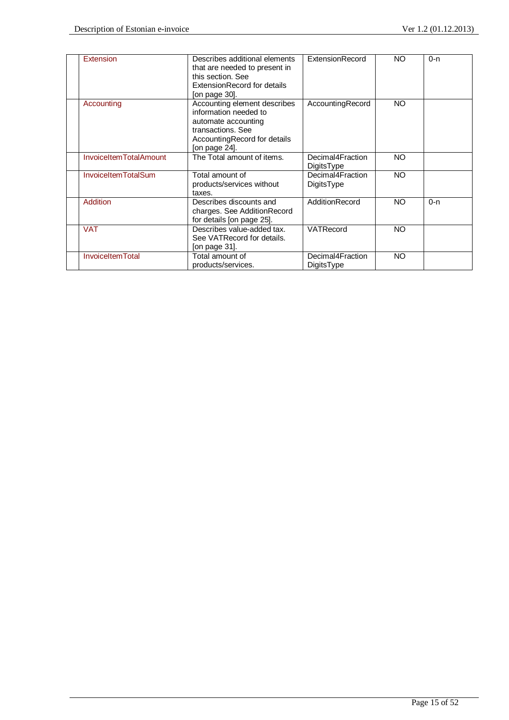| Extension                  | Describes additional elements<br>that are needed to present in<br>this section. See<br>ExtensionRecord for details<br>[on page 30].                | <b>ExtensionRecord</b>         | <b>NO</b> | $0 - n$ |  |
|----------------------------|----------------------------------------------------------------------------------------------------------------------------------------------------|--------------------------------|-----------|---------|--|
| Accounting                 | Accounting element describes<br>information needed to<br>automate accounting<br>transactions, See<br>AccountingRecord for details<br>[on page 24]. | AccountingRecord               | <b>NO</b> |         |  |
| InvoiceItemTotalAmount     | The Total amount of items.                                                                                                                         | Decimal4Fraction<br>DigitsType | NO.       |         |  |
| <b>InvoiceItemTotalSum</b> | Total amount of<br>products/services without<br>taxes.                                                                                             | Decimal4Fraction<br>DigitsType | <b>NO</b> |         |  |
| <b>Addition</b>            | Describes discounts and<br>charges. See AdditionRecord<br>for details [on page 25].                                                                | AdditionRecord                 | NO.       | $0 - n$ |  |
| <b>VAT</b>                 | Describes value-added tax.<br>See VATRecord for details.<br>[on page 31].                                                                          | VATRecord                      | NO.       |         |  |
| <b>InvoiceItemTotal</b>    | Total amount of<br>products/services.                                                                                                              | Decimal4Fraction<br>DigitsType | <b>NO</b> |         |  |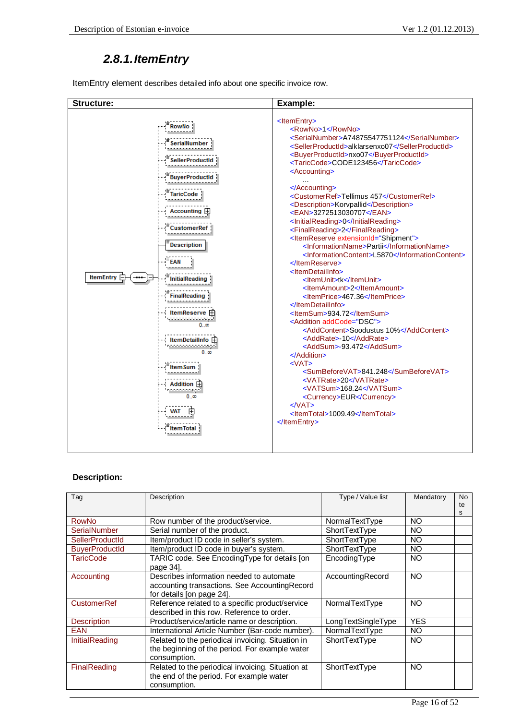# *2.8.1. ItemEntry*

ItemEntry element describes detailed info about one specific invoice row.



| Tag                    | Description                                                                                                             | Type / Value list  | Mandatory  | No<br>te<br>s |
|------------------------|-------------------------------------------------------------------------------------------------------------------------|--------------------|------------|---------------|
| <b>RowNo</b>           | Row number of the product/service.                                                                                      | NormalTextType     | NO         |               |
| <b>SerialNumber</b>    | Serial number of the product.                                                                                           | ShortTextType      | NO         |               |
| <b>SellerProductId</b> | Item/product ID code in seller's system.                                                                                | ShortTextType      | NO         |               |
| <b>BuyerProductId</b>  | Item/product ID code in buyer's system.                                                                                 | ShortTextType      | NO         |               |
| TaricCode              | TARIC code. See EncodingType for details [on<br>page 34.                                                                | EncodingType       | NO         |               |
| Accounting             | Describes information needed to automate<br>accounting transactions. See Accounting Record<br>for details [on page 24]. | AccountingRecord   | <b>NO</b>  |               |
| <b>CustomerRef</b>     | Reference related to a specific product/service<br>described in this row. Reference to order.                           | NormalTextType     | <b>NO</b>  |               |
| <b>Description</b>     | Product/service/article name or description.                                                                            | LongTextSingleType | <b>YES</b> |               |
| <b>EAN</b>             | International Article Number (Bar-code number).                                                                         | NormalTextType     | NO         |               |
| <b>InitialReading</b>  | Related to the periodical invoicing. Situation in<br>the beginning of the period. For example water<br>consumption.     | ShortTextType      | NO         |               |
| FinalReading           | Related to the periodical invoicing. Situation at<br>the end of the period. For example water<br>consumption.           | ShortTextType      | NO         |               |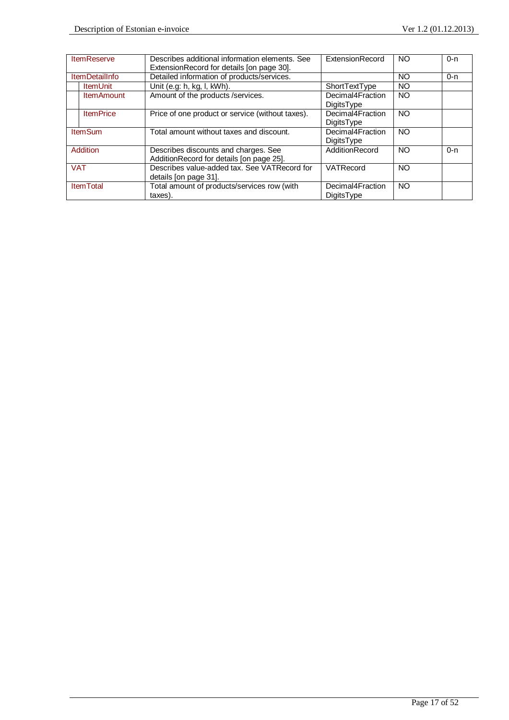| <b>ItemReserve</b>    | Describes additional information elements. See   | ExtensionRecord   | NO        | $0 - n$ |
|-----------------------|--------------------------------------------------|-------------------|-----------|---------|
|                       | ExtensionRecord for details [on page 30].        |                   |           |         |
| <b>ItemDetailInfo</b> | Detailed information of products/services.       |                   | NO        | 0-n     |
| <b>ItemUnit</b>       | Unit (e.g: h, kg, l, kWh).                       | ShortTextType     | <b>NO</b> |         |
| <b>ItemAmount</b>     | Amount of the products /services.                | Decimal4Fraction  | <b>NO</b> |         |
|                       |                                                  | <b>DigitsType</b> |           |         |
| <b>ItemPrice</b>      | Price of one product or service (without taxes). | Decimal4Fraction  | <b>NO</b> |         |
|                       |                                                  | <b>DigitsType</b> |           |         |
| <b>ItemSum</b>        | Total amount without taxes and discount.         | Decimal4Fraction  | <b>NO</b> |         |
|                       |                                                  | DigitsType        |           |         |
| Addition              | Describes discounts and charges. See             | AdditionRecord    | <b>NO</b> | $0 - n$ |
|                       | AdditionRecord for details [on page 25].         |                   |           |         |
| <b>VAT</b>            | Describes value-added tax. See VATRecord for     | VATRecord         | <b>NO</b> |         |
|                       | details [on page 31].                            |                   |           |         |
| <b>ItemTotal</b>      | Total amount of products/services row (with      | Decimal4Fraction  | <b>NO</b> |         |
|                       | taxes).                                          | <b>DigitsType</b> |           |         |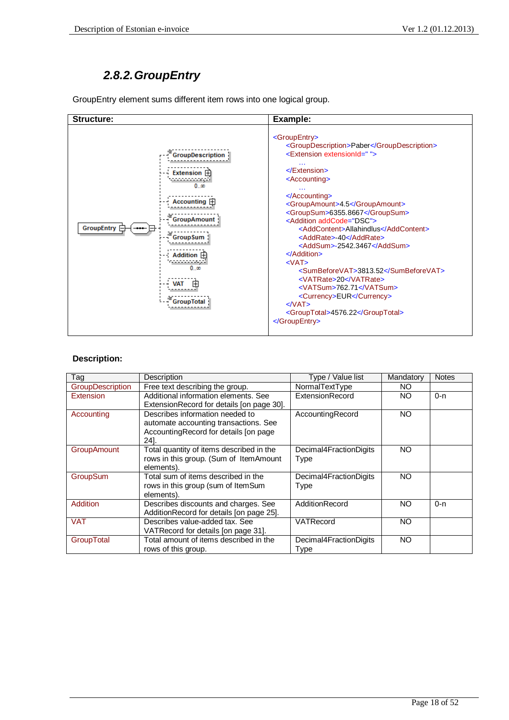# *2.8.2. GroupEntry*

GroupEntry element sums different item rows into one logical group.

| <b>Structure:</b>                                                                                                                                                                                                    | Example:                                                                                                                                                                                                                                                                                                                                                                                                                                                                                                                                                                                                                                                                                                        |
|----------------------------------------------------------------------------------------------------------------------------------------------------------------------------------------------------------------------|-----------------------------------------------------------------------------------------------------------------------------------------------------------------------------------------------------------------------------------------------------------------------------------------------------------------------------------------------------------------------------------------------------------------------------------------------------------------------------------------------------------------------------------------------------------------------------------------------------------------------------------------------------------------------------------------------------------------|
| <b>GroupDescription</b><br>Extension <b>H</b><br>0 <sub>0</sub><br>Accounting $\mathbb H$<br><sup>=</sup> GroupAmount<br>GroupEntry<br><sup>'</sup> GroupSum<br><b>Addition</b><br>0.00<br>- <sup>F</sup> GroupTotal | <groupentry><br/><groupdescription>Paber</groupdescription><br/><extension extensionid=""><br/><math>\le</math>/Extension&gt;<br/><accounting><br/>.<br/></accounting><br/><groupamount>4.5</groupamount><br/><groupsum>6355.8667</groupsum><br/><addition addcode="DSC"><br/><addcontent>Allahindlus</addcontent><br/><addrate>-40</addrate><br/><addsum>-2542.3467</addsum><br/><math>&lt;</math>/Addition&gt;<br/><math>&lt;</math>VAT<math>&gt;</math><br/><sumbeforevat>3813.52</sumbeforevat><br/><vatrate>20</vatrate><br/><vatsum>762.71</vatsum><br/><currency>EUR</currency><br/><math>&lt;</math>/VAT<math>&gt;</math><br/><grouptotal>4576.22</grouptotal><br/></addition></extension></groupentry> |

| Tag                | Description                                                                                                               | Type / Value list                     | Mandatory | <b>Notes</b> |
|--------------------|---------------------------------------------------------------------------------------------------------------------------|---------------------------------------|-----------|--------------|
| GroupDescription   | Free text describing the group.                                                                                           | NormalTextType                        | NO.       |              |
| Extension          | Additional information elements. See<br>ExtensionRecord for details [on page 30].                                         | ExtensionRecord                       | NO.       | $0 - n$      |
| Accounting         | Describes information needed to<br>automate accounting transactions. See<br>AccountingRecord for details [on page<br>241. | AccountingRecord                      | <b>NO</b> |              |
| <b>GroupAmount</b> | Total quantity of items described in the<br>rows in this group. (Sum of ItemAmount<br>elements).                          | Decimal4FractionDigits<br>Type        | NO        |              |
| GroupSum           | Total sum of items described in the<br>rows in this group (sum of ItemSum<br>elements).                                   | Decimal4FractionDigits<br><b>Type</b> | NO        |              |
| Addition           | Describes discounts and charges. See<br>AdditionRecord for details [on page 25].                                          | AdditionRecord                        | NO        | $0 - n$      |
| <b>VAT</b>         | Describes value-added tax. See<br>VATRecord for details [on page 31].                                                     | VATRecord                             | NO        |              |
| GroupTotal         | Total amount of items described in the<br>rows of this group.                                                             | Decimal4FractionDigits<br>Type        | <b>NO</b> |              |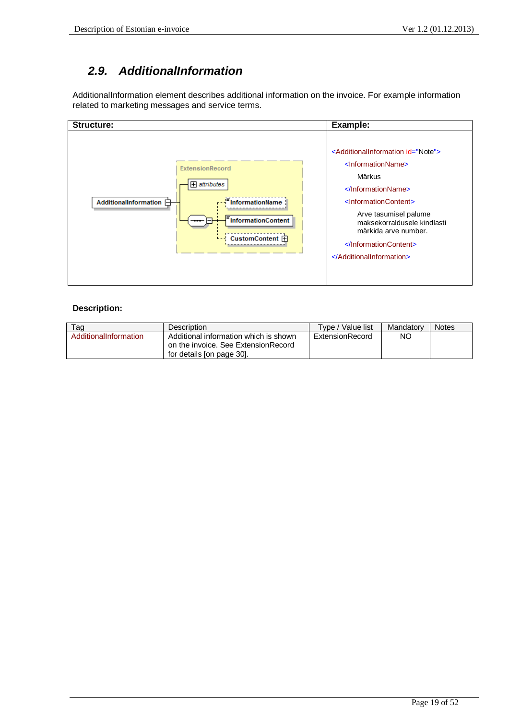## *2.9. AdditionalInformation*

AdditionalInformation element describes additional information on the invoice. For example information related to marketing messages and service terms.



| Taq                   | <b>Description</b>                                                                                        | Type / Value list | Mandatory | <b>Notes</b> |
|-----------------------|-----------------------------------------------------------------------------------------------------------|-------------------|-----------|--------------|
| AdditionalInformation | Additional information which is shown<br>on the invoice. See ExtensionRecord<br>for details [on page 30]. | ExtensionRecord   | NC        |              |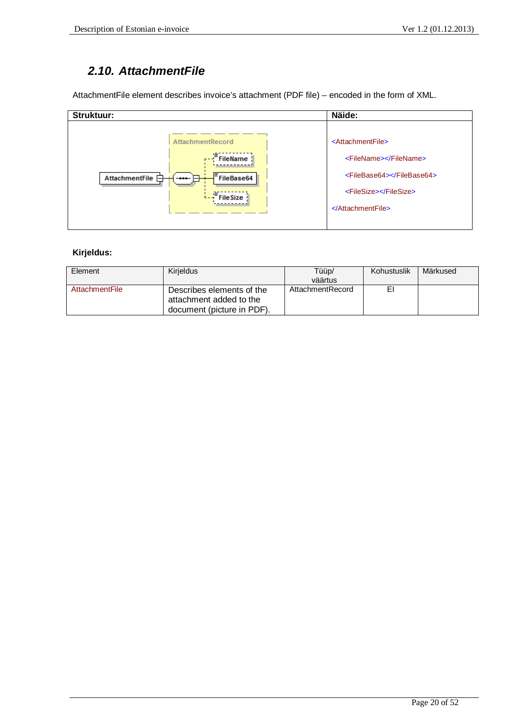### *2.10. AttachmentFile*

AttachmentFile element describes invoice's attachment (PDF file) – encoded in the form of XML.

| Struktuur:                                                                                                                        | Näide:                                                                                                                                                      |
|-----------------------------------------------------------------------------------------------------------------------------------|-------------------------------------------------------------------------------------------------------------------------------------------------------------|
| <b>AttachmentRecord</b><br><b>FileName</b><br>$\sqrt{r-1}$<br>FileBase64<br>AttachmentFile $\Box$<br>$-$<br>FileSize <sup>y</sup> | <attachmentfile><br/><filename></filename><br/><filebase64></filebase64><br/><filesize></filesize><br/><math>\leq</math>AttachmentFile&gt;</attachmentfile> |

### **Kirjeldus:**

| Element        | Kirjeldus                                                                          | Tüüp/<br>väärtus | Kohustuslik | Märkused |
|----------------|------------------------------------------------------------------------------------|------------------|-------------|----------|
| AttachmentFile | Describes elements of the<br>attachment added to the<br>document (picture in PDF). | AttachmentRecord | E.          |          |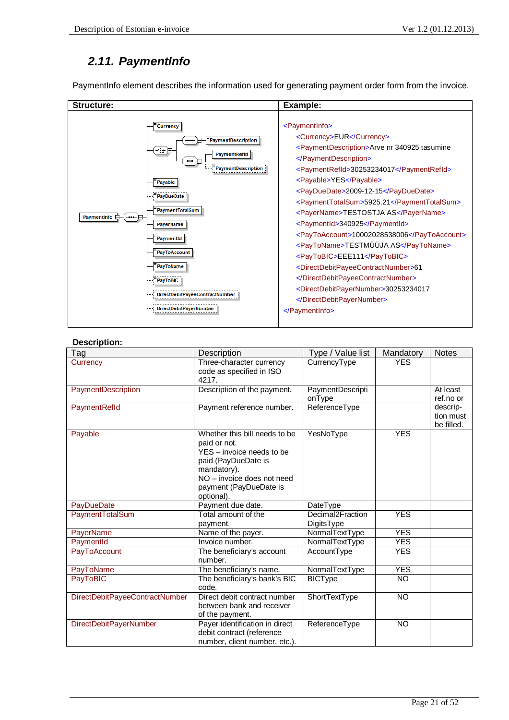# *2.11. PaymentInfo*

PaymentInfo element describes the information used for generating payment order form from the invoice.

| Structure:                                                                                                                                                                                                                                                                                         | Example:                                                                                                                                                                                                                                                                                                                                                                                                                                                                                                                                                                                                                                                                                    |
|----------------------------------------------------------------------------------------------------------------------------------------------------------------------------------------------------------------------------------------------------------------------------------------------------|---------------------------------------------------------------------------------------------------------------------------------------------------------------------------------------------------------------------------------------------------------------------------------------------------------------------------------------------------------------------------------------------------------------------------------------------------------------------------------------------------------------------------------------------------------------------------------------------------------------------------------------------------------------------------------------------|
| <b>Currency</b><br><b>PaymentDescription</b><br>-47∫<br>PaymentRefld<br><br><b>PaymentDescription</b><br>Payable<br>PayDueDate<br>PaymentTotalSum<br>PaymentInfo 白<br>PayerName<br>PaymentId<br>PayToAccount<br>PayToName<br><b>PavToBIC</b><br>ectDebitPayeeContractNumber<br>ectDebitPaverNumber | <paymentinfo><br/><currency>EUR</currency><br/><paymentdescription>Arve nr 340925 tasumine<br/></paymentdescription><br/><paymentrefld>30253234017</paymentrefld><br/><payable>YES</payable><br/><payduedate>2009-12-15</payduedate><br/><paymenttotalsum>5925.21</paymenttotalsum><br/><payername>TESTOSTJA AS</payername><br/><paymentid>340925</paymentid><br/><paytoaccount>10002028538006</paytoaccount><br/><paytoname>TESTMÜÜJA AS</paytoname><br/><paytobic>EEE111</paytobic><br/><directdebitpayeecontractnumber>61<br/></directdebitpayeecontractnumber><br/><directdebitpayernumber>30253234017<br/></directdebitpayernumber><br/><math>\le</math>/PaymentInfo&gt;</paymentinfo> |

| Tag                            | Description                                          | Type / Value list          | Mandatory  | <b>Notes</b>            |
|--------------------------------|------------------------------------------------------|----------------------------|------------|-------------------------|
| Currency                       | Three-character currency<br>code as specified in ISO | CurrencyType               | <b>YES</b> |                         |
|                                | 4217.                                                |                            |            |                         |
| PaymentDescription             | Description of the payment.                          | PaymentDescripti<br>onType |            | At least<br>ref.no or   |
| PaymentRefld                   | Payment reference number.                            | ReferenceType              |            | descrip-                |
|                                |                                                      |                            |            | tion must<br>be filled. |
| Payable                        | Whether this bill needs to be                        | YesNoType                  | <b>YES</b> |                         |
|                                | paid or not.                                         |                            |            |                         |
|                                | YES - invoice needs to be                            |                            |            |                         |
|                                | paid (PayDueDate is                                  |                            |            |                         |
|                                | mandatory).<br>NO - invoice does not need            |                            |            |                         |
|                                | payment (PayDueDate is                               |                            |            |                         |
|                                | optional).                                           |                            |            |                         |
| PayDueDate                     | Payment due date.                                    | DateType                   |            |                         |
| <b>PaymentTotalSum</b>         | Total amount of the                                  | Decimal2Fraction           | <b>YES</b> |                         |
|                                | payment.                                             | DigitsType                 |            |                         |
| PayerName                      | Name of the payer.                                   | NormalTextType             | <b>YES</b> |                         |
| PaymentId                      | Invoice number.                                      | NormalTextType             | <b>YES</b> |                         |
| PayToAccount                   | The beneficiary's account<br>number.                 | AccountType                | <b>YES</b> |                         |
| PayToName                      | The beneficiary's name.                              | NormalTextType             | <b>YES</b> |                         |
| PayToBIC                       | The beneficiary's bank's BIC                         | <b>BICType</b>             | <b>NO</b>  |                         |
|                                | code.                                                |                            |            |                         |
| DirectDebitPayeeContractNumber | Direct debit contract number                         | ShortTextType              | <b>NO</b>  |                         |
|                                | between bank and receiver                            |                            |            |                         |
|                                | of the payment.                                      |                            |            |                         |
| <b>DirectDebitPayerNumber</b>  | Payer identification in direct                       | ReferenceType              | <b>NO</b>  |                         |
|                                | debit contract (reference                            |                            |            |                         |
|                                | number, client number, etc.).                        |                            |            |                         |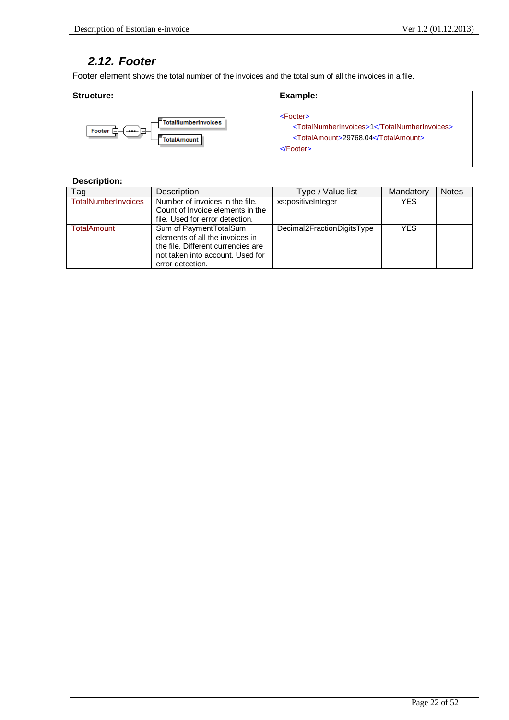# *2.12. Footer*

Footer element shows the total number of the invoices and the total sum of all the invoices in a file.

| Structure:                                | Example:                                     |
|-------------------------------------------|----------------------------------------------|
| TotalNumberInvoices                       | <footer></footer>                            |
| Footer $\Box$                             | <totalnumberinvoices>1</totalnumberinvoices> |
| $\rightarrow$ $\rightarrow$ $\rightarrow$ | <totalamount>29768.04</totalamount>          |
| -F <sub>TotalAmount</sub>                 | $\le$ Footer $>$                             |

| Tag                        | Description                                                                                                                                             | Type / Value list          | Mandatory  | <b>Notes</b> |
|----------------------------|---------------------------------------------------------------------------------------------------------------------------------------------------------|----------------------------|------------|--------------|
| <b>TotalNumberInvoices</b> | Number of invoices in the file.<br>Count of Invoice elements in the<br>file. Used for error detection.                                                  | xs:positiveInteger         | <b>YES</b> |              |
| <b>TotalAmount</b>         | Sum of PaymentTotalSum<br>elements of all the invoices in<br>the file. Different currencies are<br>not taken into account. Used for<br>error detection. | Decimal2FractionDigitsType | <b>YES</b> |              |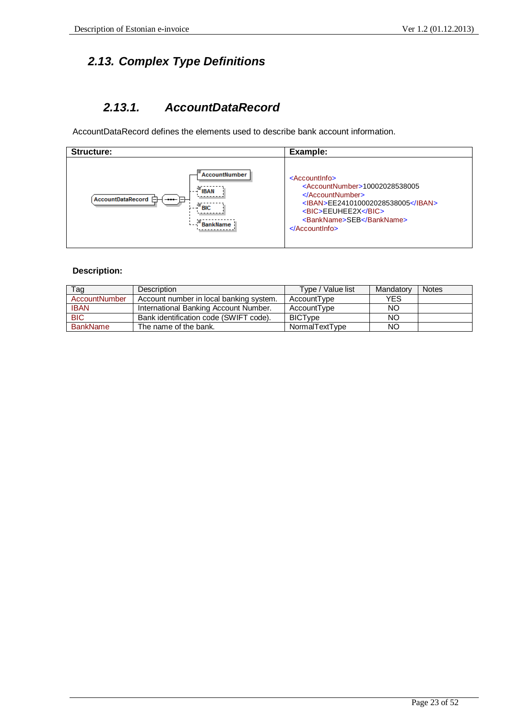# *2.13. Complex Type Definitions*

# *2.13.1. AccountDataRecord*

AccountDataRecord defines the elements used to describe bank account information.

| Structure:                                                                                     | Example:                                                                                                                                                                                                                                                    |
|------------------------------------------------------------------------------------------------|-------------------------------------------------------------------------------------------------------------------------------------------------------------------------------------------------------------------------------------------------------------|
| AccountNumber<br>$ \overline{BAN}$<br>AccountDataRecord <b>F</b><br>$-$<br>$=$ BIC<br>BankName | $<$ Accountlnfo $>$<br><accountnumber>10002028538005<br/><math>\langle</math>AccountNumber&gt;<br/><iban>EE241010002028538005</iban><br/><bic>EEUHEE2X</bic><br/><bankname>SEB</bankname><br/><math>\leq</math>Accountinfo<math>\geq</math></accountnumber> |

| Tag             | Description                             | Type / Value list | Mandatory  | <b>Notes</b> |
|-----------------|-----------------------------------------|-------------------|------------|--------------|
| AccountNumber   | Account number in local banking system. | AccountType       | <b>YES</b> |              |
| <b>IBAN</b>     | International Banking Account Number.   | AccountType       | NO         |              |
| <b>BIC</b>      | Bank identification code (SWIFT code).  | <b>BICTvpe</b>    | NO         |              |
| <b>BankName</b> | The name of the bank.                   | NormalTextType    | <b>NO</b>  |              |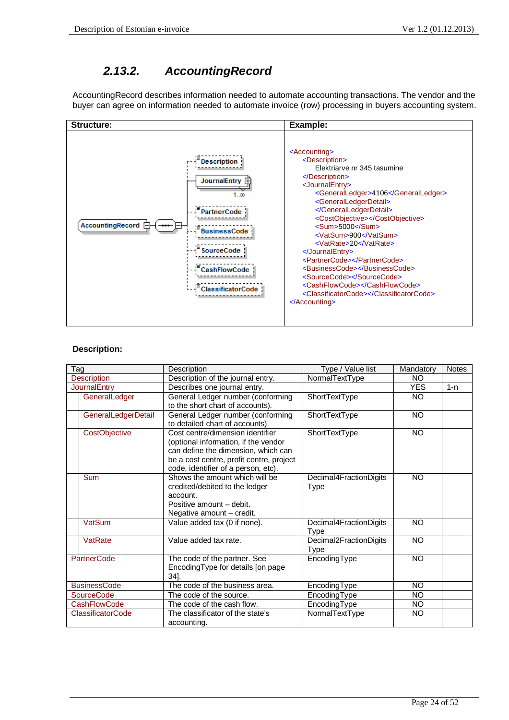# *2.13.2. AccountingRecord*

AccountingRecord describes information needed to automate accounting transactions. The vendor and the buyer can agree on information needed to automate invoice (row) processing in buyers accounting system.



| Type / Value list<br>Tag<br>Description |                                                                                                                                                                                                    | Mandatory                      | <b>Notes</b> |         |
|-----------------------------------------|----------------------------------------------------------------------------------------------------------------------------------------------------------------------------------------------------|--------------------------------|--------------|---------|
| <b>Description</b>                      | Description of the journal entry.                                                                                                                                                                  | NormalTextType                 | NO.          |         |
| <b>JournalEntry</b>                     | Describes one journal entry.                                                                                                                                                                       |                                | <b>YES</b>   | $1 - n$ |
| GeneralLedger                           | General Ledger number (conforming<br>to the short chart of accounts).                                                                                                                              | ShortTextType                  | NO.          |         |
| GeneralLedgerDetail                     | General Ledger number (conforming<br>to detailed chart of accounts).                                                                                                                               | ShortTextType                  | <b>NO</b>    |         |
| CostObjective                           | Cost centre/dimension identifier<br>(optional information, if the vendor<br>can define the dimension, which can<br>be a cost centre, profit centre, project<br>code, identifier of a person, etc). | ShortTextType                  | <b>NO</b>    |         |
| <b>Sum</b>                              | Shows the amount which will be<br>credited/debited to the ledger<br>account.<br>Positive amount - debit.<br>Negative amount - credit.                                                              | Decimal4FractionDigits<br>Type | <b>NO</b>    |         |
| VatSum                                  | Value added tax (0 if none).                                                                                                                                                                       | Decimal4FractionDigits<br>Type | <b>NO</b>    |         |
| VatRate                                 | Value added tax rate.                                                                                                                                                                              | Decimal2FractionDigits<br>Type | <b>NO</b>    |         |
| <b>PartnerCode</b>                      | The code of the partner. See<br>EncodingType for details [on page<br>$34$ ].                                                                                                                       | EncodingType                   | <b>NO</b>    |         |
| <b>BusinessCode</b>                     | The code of the business area.                                                                                                                                                                     | EncodingType                   | <b>NO</b>    |         |
| <b>SourceCode</b>                       | The code of the source.                                                                                                                                                                            | EncodingType                   | <b>NO</b>    |         |
| <b>CashFlowCode</b>                     | The code of the cash flow.                                                                                                                                                                         | EncodingType                   | <b>NO</b>    |         |
| <b>ClassificatorCode</b>                | The classificator of the state's<br>accounting.                                                                                                                                                    | NormalTextType                 | <b>NO</b>    |         |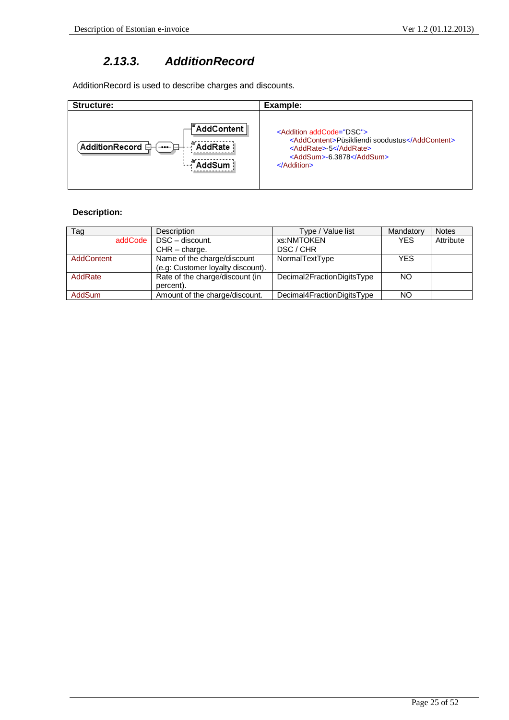## *2.13.3. AdditionRecord*

AdditionRecord is used to describe charges and discounts.

| Structure:                                                          | Example:                                       |
|---------------------------------------------------------------------|------------------------------------------------|
|                                                                     | <addition addcode="DSC"></addition>            |
| $\pm$ AddRate $\frac{1}{2}$                                         | <addcontent>Püsikliendi soodustus</addcontent> |
| $\hat{}$ AdditionRecord $\hat\boxminus\hat{}$                       | <addrate>-5</addrate>                          |
| $\left  \begin{array}{c} -\bullet\bullet\bullet\end{array} \right $ | <addsum>-6.3878</addsum>                       |
| <sup>™</sup> AddSum                                                 | $\triangle$ Addition                           |

| Tag               | Description                                                      | Type / Value list          | Mandatory  | <b>Notes</b> |
|-------------------|------------------------------------------------------------------|----------------------------|------------|--------------|
|                   | addCode   DSC - discount.                                        | xs:NMTOKEN                 | <b>YES</b> | Attribute    |
|                   | $CHR - charge.$                                                  | DSC / CHR                  |            |              |
| <b>AddContent</b> | Name of the charge/discount<br>(e.g: Customer loyalty discount). | NormalTextType             | <b>YES</b> |              |
| AddRate           | Rate of the charge/discount (in<br>percent).                     | Decimal2FractionDigitsType | NO.        |              |
| <b>AddSum</b>     | Amount of the charge/discount.                                   | Decimal4FractionDigitsType | NO.        |              |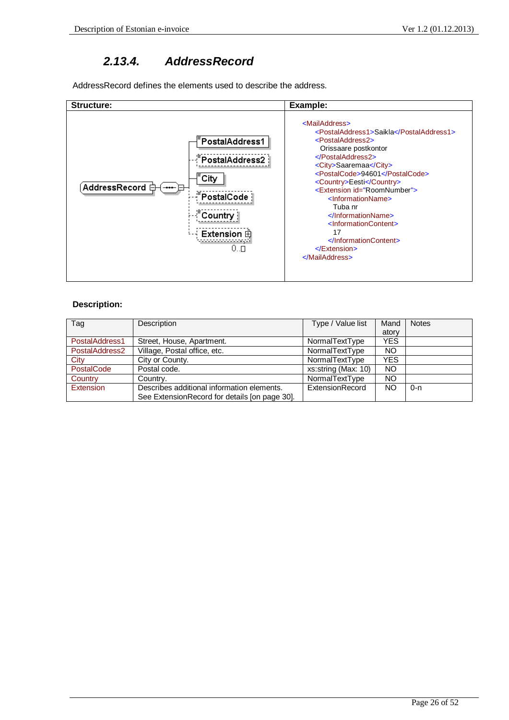### *2.13.4. AddressRecord*

AddressRecord defines the elements used to describe the address.



| Tag            | Description                                   | Type / Value list   | Mand       | <b>Notes</b> |
|----------------|-----------------------------------------------|---------------------|------------|--------------|
|                |                                               |                     | atory      |              |
| PostalAddress1 | Street, House, Apartment.                     | NormalTextType      | <b>YES</b> |              |
| PostalAddress2 | Village, Postal office, etc.                  | NormalTextType      | ΝO         |              |
| City           | City or County.                               | NormalTextType      | YES        |              |
| PostalCode     | Postal code.                                  | xs:string (Max: 10) | ΝO         |              |
| Country        | Country.                                      | NormalTextType      | ΝO         |              |
| Extension      | Describes additional information elements.    | ExtensionRecord     | NΟ         | $0 - n$      |
|                | See ExtensionRecord for details [on page 30]. |                     |            |              |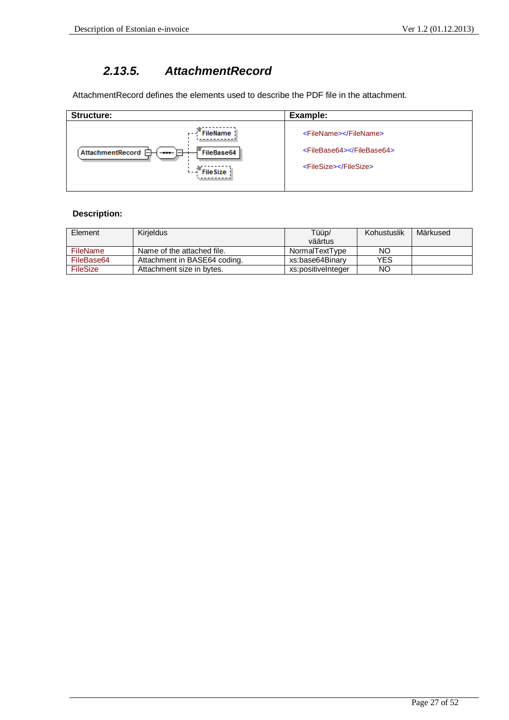## *2.13.5. AttachmentRecord*

AttachmentRecord defines the elements used to describe the PDF file in the attachment.

| Structure:                                                                                                                                  | Example:                                                                    |
|---------------------------------------------------------------------------------------------------------------------------------------------|-----------------------------------------------------------------------------|
| $\cdots$ <sup><math>\equiv</math></sup> FileName $\frac{1}{2}$<br>E<br>FileBase64<br>AttachmentRecord <b>F</b><br>$-$<br>$\cdots$ File Size | <filename></filename><br><filebase64></filebase64><br><filesize></filesize> |
|                                                                                                                                             |                                                                             |

| Element         | Kirieldus                    | Tüüp/              | Kohustuslik | Märkused |
|-----------------|------------------------------|--------------------|-------------|----------|
|                 |                              | väärtus            |             |          |
| <b>FileName</b> | Name of the attached file.   | NormalTextType     | NΟ          |          |
| FileBase64      | Attachment in BASE64 coding. | xs:base64Binarv    | YES         |          |
| <b>FileSize</b> | Attachment size in bytes.    | xs:positiveInteger | NΟ          |          |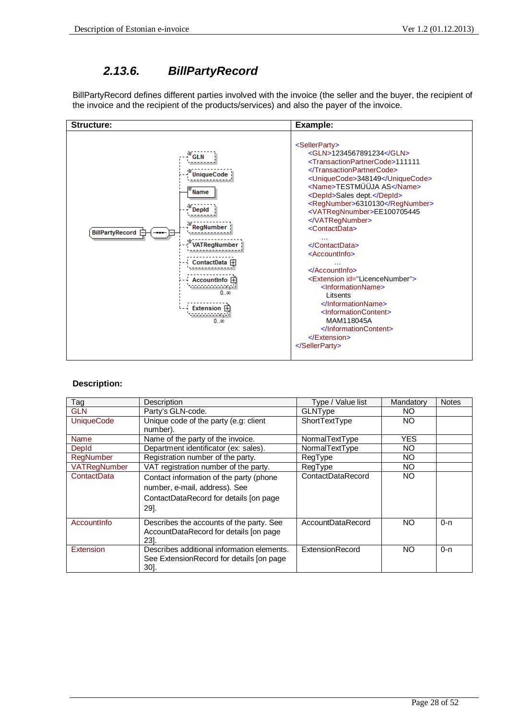## *2.13.6. BillPartyRecord*

BillPartyRecord defines different parties involved with the invoice (the seller and the buyer, the recipient of the invoice and the recipient of the products/services) and also the payer of the invoice.



| Tag                 | Description                                                                                                                 | Type / Value list | Mandatory | <b>Notes</b> |
|---------------------|-----------------------------------------------------------------------------------------------------------------------------|-------------------|-----------|--------------|
| <b>GLN</b>          | Party's GLN-code.                                                                                                           | GLNType           | NO.       |              |
| <b>UniqueCode</b>   | Unique code of the party (e.g: client                                                                                       | ShortTextType     | NO.       |              |
|                     | number).                                                                                                                    |                   |           |              |
| Name                | Name of the party of the invoice.                                                                                           | NormalTextType    | YES.      |              |
| Depld               | Department identificator (ex: sales).                                                                                       | NormalTextType    | NO.       |              |
| RegNumber           | Registration number of the party.                                                                                           | RegType           | NO.       |              |
| <b>VATRegNumber</b> | VAT registration number of the party.                                                                                       | RegType           | NO.       |              |
| ContactData         | Contact information of the party (phone<br>number, e-mail, address). See<br>ContactDataRecord for details [on page]<br>29]. | ContactDataRecord | NO.       |              |
| Accountinfo         | Describes the accounts of the party. See<br>AccountDataRecord for details [on page<br>231.                                  | AccountDataRecord | NO.       | $0 - n$      |
| Extension           | Describes additional information elements.<br>See ExtensionRecord for details [on page]<br>301.                             | ExtensionRecord   | NO.       | $0 - n$      |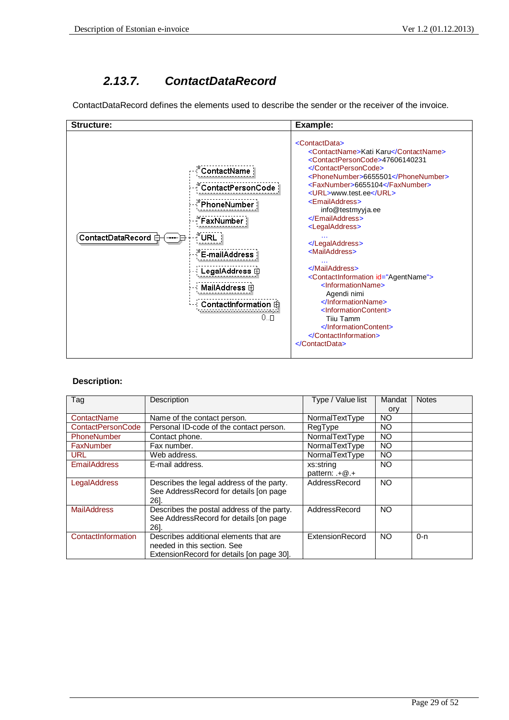# *2.13.7. ContactDataRecord*

ContactDataRecord defines the elements used to describe the sender or the receiver of the invoice.



| Tag                      | Description                                | Type / Value list | Mandat    | <b>Notes</b> |
|--------------------------|--------------------------------------------|-------------------|-----------|--------------|
|                          |                                            |                   | ory       |              |
| ContactName              | Name of the contact person.                | NormalTextType    | NO        |              |
| <b>ContactPersonCode</b> | Personal ID-code of the contact person.    | RegType           | NO        |              |
| <b>PhoneNumber</b>       | Contact phone.                             | NormalTextType    | NO        |              |
| FaxNumber                | Fax number.                                | NormalTextType    | NO        |              |
| <b>URL</b>               | Web address.                               | NormalTextType    | NO        |              |
| <b>EmailAddress</b>      | E-mail address.                            | xs:string         | NO.       |              |
|                          |                                            | pattern: .+@.+    |           |              |
| LegalAddress             | Describes the legal address of the party.  | AddressRecord     | <b>NO</b> |              |
|                          | See AddressRecord for details [on page     |                   |           |              |
|                          | 261.                                       |                   |           |              |
| <b>MailAddress</b>       | Describes the postal address of the party. | AddressRecord     | <b>NO</b> |              |
|                          | See AddressRecord for details [on page     |                   |           |              |
|                          | 261.                                       |                   |           |              |
| ContactInformation       | Describes additional elements that are     | ExtensionRecord   | <b>NO</b> | $0 - n$      |
|                          | needed in this section. See                |                   |           |              |
|                          | ExtensionRecord for details [on page 30].  |                   |           |              |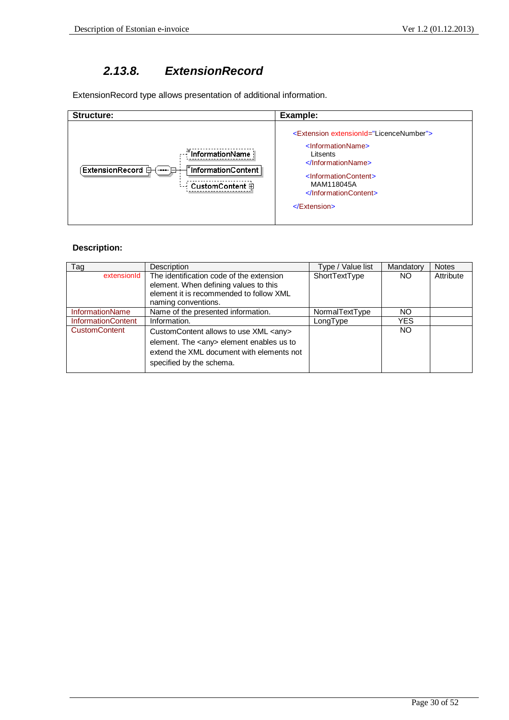## *2.13.8. ExtensionRecord*

ExtensionRecord type allows presentation of additional information.

| Structure:                                              | Example:                                                                                                                                                                                                                                                                                           |
|---------------------------------------------------------|----------------------------------------------------------------------------------------------------------------------------------------------------------------------------------------------------------------------------------------------------------------------------------------------------|
| : :: InformationName  <br>$-$<br>CustomContent <b>⊞</b> | <extension extensionid="LicenceNumber"><br/><informationname><br/>Litsents<br/><math>\langle</math>InformationName&gt;<br/><informationcontent><br/>MAM118045A<br/><math>\alpha</math>InformationContent&gt;<br/><math>\le</math>/Extension&gt;</informationcontent></informationname></extension> |

| Tag                       | Description                                    | Type / Value list | Mandatory  | <b>Notes</b> |
|---------------------------|------------------------------------------------|-------------------|------------|--------------|
| extensionId               | The identification code of the extension       | ShortTextType     | NO         | Attribute    |
|                           | element. When defining values to this          |                   |            |              |
|                           | element it is recommended to follow XML        |                   |            |              |
|                           | naming conventions.                            |                   |            |              |
| InformationName           | Name of the presented information.             | NormalTextType    | NO.        |              |
| <b>InformationContent</b> | Information.                                   | LongType          | <b>YES</b> |              |
| <b>CustomContent</b>      | CustomContent allows to use XML <any></any>    |                   | NO         |              |
|                           | element. The <any> element enables us to</any> |                   |            |              |
|                           | extend the XML document with elements not      |                   |            |              |
|                           |                                                |                   |            |              |
|                           | specified by the schema.                       |                   |            |              |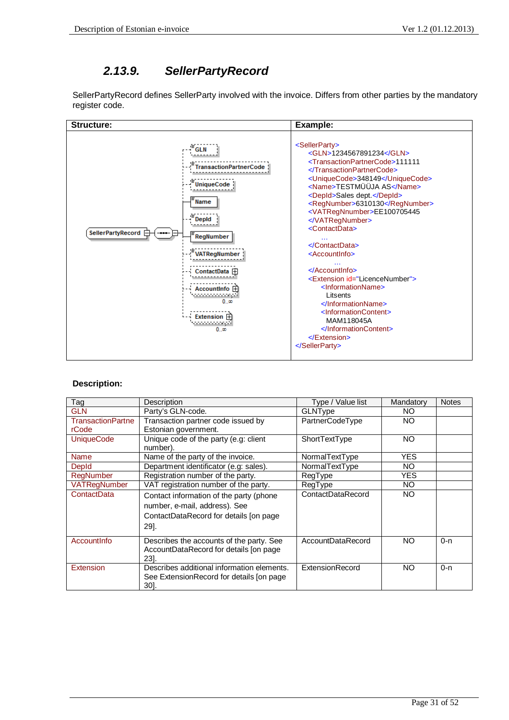# *2.13.9. SellerPartyRecord*

SellerPartyRecord defines SellerParty involved with the invoice. Differs from other parties by the mandatory register code.



| Tag               | Description                                                                                                                 | Type / Value list      | Mandatory  | <b>Notes</b> |
|-------------------|-----------------------------------------------------------------------------------------------------------------------------|------------------------|------------|--------------|
| <b>GLN</b>        | Party's GLN-code.                                                                                                           | GLNType                | NO.        |              |
| TransactionPartne | Transaction partner code issued by                                                                                          | PartnerCodeType        | NO.        |              |
| rCode             | Estonian government.                                                                                                        |                        |            |              |
| <b>UniqueCode</b> | Unique code of the party (e.g: client<br>number).                                                                           | ShortTextType          | NO.        |              |
| <b>Name</b>       | Name of the party of the invoice.                                                                                           | NormalTextType         | <b>YES</b> |              |
| Depld             | Department identificator (e.g: sales).                                                                                      | NormalTextType         | NO.        |              |
| <b>RegNumber</b>  | Registration number of the party.                                                                                           | RegType                | <b>YES</b> |              |
| VATRegNumber      | VAT registration number of the party.                                                                                       | RegType                | NO.        |              |
| ContactData       | Contact information of the party (phone<br>number, e-mail, address). See<br>ContactDataRecord for details [on page]<br>29]. | ContactDataRecord      | NO.        |              |
| Accountinfo       | Describes the accounts of the party. See<br>AccountDataRecord for details [on page<br>231.                                  | AccountDataRecord      | NO.        | $0 - n$      |
| Extension         | Describes additional information elements.<br>See ExtensionRecord for details [on page]<br>30].                             | <b>ExtensionRecord</b> | NO.        | $0 - n$      |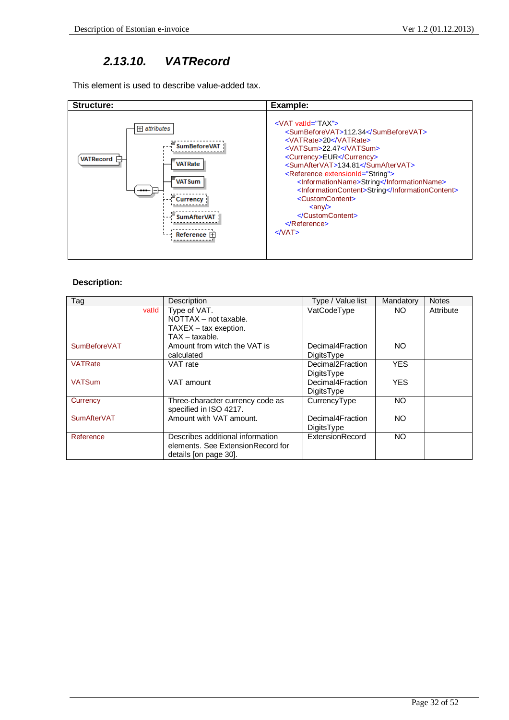## *2.13.10. VATRecord*

This element is used to describe value-added tax.

| Structure:                                                                                                                                            | Example:                                                                                                                                                                                                                                                                                                                                                                                                                                                                                                      |
|-------------------------------------------------------------------------------------------------------------------------------------------------------|---------------------------------------------------------------------------------------------------------------------------------------------------------------------------------------------------------------------------------------------------------------------------------------------------------------------------------------------------------------------------------------------------------------------------------------------------------------------------------------------------------------|
| <b>H</b> attributes<br><b>SumBeforeVAT</b><br>VATRecord <b>日</b><br>VATRate<br><b>FVATSum</b><br><b>Currency</b><br><b>SumAfterVAT</b><br>Reference 田 | $\leq$ VAT vatid="TAX"><br><sumbeforevat>112.34</sumbeforevat><br><vatrate>20</vatrate><br><vatsum>22.47</vatsum><br><currency>EUR</currency><br><sumaftervat>134.81</sumaftervat><br><reference extensionid="String"><br/><informationname>String</informationname><br/><informationcontent>String</informationcontent><br/><customcontent><br/><math>\langle \text{any} \rangle</math><br/></customcontent><br/><math>\langle</math>Reference&gt;<br/><math>&lt;</math> <math>\sqrt{VAT}</math></reference> |

| Tag                | Description                       | Type / Value list | Mandatory  | <b>Notes</b> |
|--------------------|-----------------------------------|-------------------|------------|--------------|
| vatid              | Type of VAT.                      |                   | NO.        | Attribute    |
|                    | NOTTAX - not taxable.             |                   |            |              |
|                    | $TAXEX - tax$ exeption.           |                   |            |              |
|                    | $TAX - taxable.$                  |                   |            |              |
| SumBeforeVAT       | Amount from witch the VAT is      | Decimal4Fraction  | NO.        |              |
|                    | calculated                        | DigitsType        |            |              |
| <b>VATRate</b>     | VAT rate                          | Decimal2Fraction  | <b>YES</b> |              |
|                    |                                   | <b>DigitsType</b> |            |              |
| <b>VATSum</b>      | VAT amount                        | Decimal4Fraction  | <b>YES</b> |              |
|                    |                                   | DigitsType        |            |              |
| Currency           | Three-character currency code as  | CurrencyType      | NO.        |              |
|                    | specified in ISO 4217.            |                   |            |              |
| <b>SumAfterVAT</b> | Amount with VAT amount.           | Decimal4Fraction  | <b>NO</b>  |              |
|                    |                                   | DigitsType        |            |              |
| Reference          | Describes additional information  | ExtensionRecord   | NO.        |              |
|                    | elements. See ExtensionRecord for |                   |            |              |
|                    | details [on page 30].             |                   |            |              |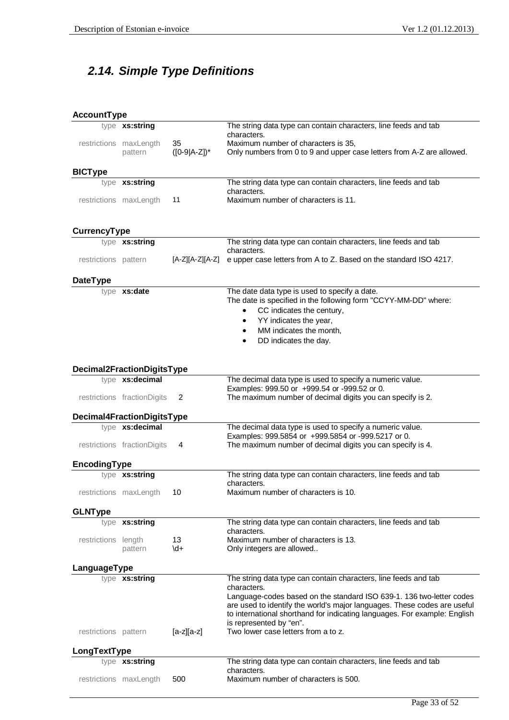# *2.14. Simple Type Definitions*

| <b>AccountType</b>   |                                                |                       |                                                                                                                                                                                                                                                                                 |
|----------------------|------------------------------------------------|-----------------------|---------------------------------------------------------------------------------------------------------------------------------------------------------------------------------------------------------------------------------------------------------------------------------|
|                      | type xs:string                                 |                       | The string data type can contain characters, line feeds and tab<br>characters.                                                                                                                                                                                                  |
|                      | restrictions maxLength<br>pattern              | 35<br>$([0-9 A-Z])^*$ | Maximum number of characters is 35,<br>Only numbers from 0 to 9 and upper case letters from A-Z are allowed.                                                                                                                                                                    |
| <b>BICType</b>       |                                                |                       |                                                                                                                                                                                                                                                                                 |
|                      | type xs:string                                 |                       | The string data type can contain characters, line feeds and tab                                                                                                                                                                                                                 |
|                      | restrictions maxLength                         | 11                    | characters.<br>Maximum number of characters is 11.                                                                                                                                                                                                                              |
| <b>CurrencyType</b>  |                                                |                       |                                                                                                                                                                                                                                                                                 |
|                      | type xs:string                                 |                       | The string data type can contain characters, line feeds and tab                                                                                                                                                                                                                 |
| restrictions pattern |                                                | [A-Z][A-Z][A-Z]       | characters.<br>e upper case letters from A to Z. Based on the standard ISO 4217.                                                                                                                                                                                                |
| <b>DateType</b>      |                                                |                       |                                                                                                                                                                                                                                                                                 |
|                      | type xs:date                                   |                       | The date data type is used to specify a date.<br>The date is specified in the following form "CCYY-MM-DD" where:<br>CC indicates the century,<br>$\bullet$<br>YY indicates the year,<br>$\bullet$<br>MM indicates the month,<br>$\bullet$<br>DD indicates the day.<br>$\bullet$ |
|                      | Decimal2FractionDigitsType                     |                       |                                                                                                                                                                                                                                                                                 |
|                      | type xs:decimal                                |                       | The decimal data type is used to specify a numeric value.<br>Examples: 999.50 or +999.54 or -999.52 or 0.                                                                                                                                                                       |
|                      | restrictions fractionDigits                    | 2                     | The maximum number of decimal digits you can specify is 2.                                                                                                                                                                                                                      |
|                      | Decimal4FractionDigitsType                     |                       |                                                                                                                                                                                                                                                                                 |
|                      | type xs:decimal<br>restrictions fractionDigits | 4                     | The decimal data type is used to specify a numeric value.<br>Examples: 999.5854 or +999.5854 or -999.5217 or 0.<br>The maximum number of decimal digits you can specify is 4.                                                                                                   |
|                      |                                                |                       |                                                                                                                                                                                                                                                                                 |
| EncodingType         |                                                |                       |                                                                                                                                                                                                                                                                                 |
|                      | type xs:string                                 |                       | The string data type can contain characters, line feeds and tab<br>characters.                                                                                                                                                                                                  |
|                      | restrictions maxLength                         | 10                    | Maximum number of characters is 10.                                                                                                                                                                                                                                             |
| <b>GLNType</b>       |                                                |                       |                                                                                                                                                                                                                                                                                 |
|                      | type xs:string                                 |                       | The string data type can contain characters, line feeds and tab<br>characters.                                                                                                                                                                                                  |
| restrictions length  | pattern                                        | 13<br>$\overline{d}$  | Maximum number of characters is 13.<br>Only integers are allowed                                                                                                                                                                                                                |
| LanguageType         |                                                |                       |                                                                                                                                                                                                                                                                                 |
|                      | type xs:string                                 |                       | The string data type can contain characters, line feeds and tab<br>characters.                                                                                                                                                                                                  |
|                      |                                                |                       | Language-codes based on the standard ISO 639-1. 136 two-letter codes<br>are used to identify the world's major languages. These codes are usefu<br>to international shorthand for indicating languages. For example: English<br>is represented by "en".                         |
| restrictions pattern |                                                | $[a-z][a-z]$          | Two lower case letters from a to z.                                                                                                                                                                                                                                             |
| LongTextType         |                                                |                       |                                                                                                                                                                                                                                                                                 |
|                      | type xs:string                                 |                       | The string data type can contain characters, line feeds and tab<br>characters.                                                                                                                                                                                                  |
|                      | restrictions maxLength                         | 500                   | Maximum number of characters is 500.                                                                                                                                                                                                                                            |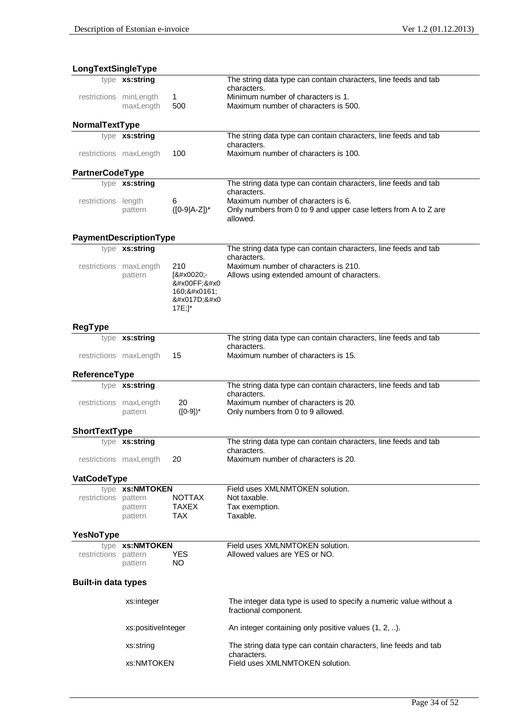| LongTextSingleType         |                        |                   |                                                                                |
|----------------------------|------------------------|-------------------|--------------------------------------------------------------------------------|
|                            | type xs:string         |                   | The string data type can contain characters, line feeds and tab                |
| restrictions minLength     |                        |                   | characters.<br>Minimum number of characters is 1.                              |
|                            | maxLength              | 1<br>500          | Maximum number of characters is 500.                                           |
|                            |                        |                   |                                                                                |
| NormalTextType             |                        |                   |                                                                                |
|                            | type xs:string         |                   | The string data type can contain characters, line feeds and tab<br>characters. |
|                            | restrictions maxLength | 100               | Maximum number of characters is 100.                                           |
| <b>PartnerCodeType</b>     |                        |                   |                                                                                |
|                            | type xs:string         |                   | The string data type can contain characters, line feeds and tab                |
|                            |                        | 6                 | characters.<br>Maximum number of characters is 6.                              |
| restrictions length        | pattern                | $([0-9 A-Z])^*$   | Only numbers from 0 to 9 and upper case letters from A to Z are                |
|                            |                        |                   | allowed.                                                                       |
|                            | PaymentDescriptionType |                   |                                                                                |
|                            | type xs:string         |                   | The string data type can contain characters, line feeds and tab                |
|                            |                        |                   | characters.                                                                    |
|                            | restrictions maxLength | 210               | Maximum number of characters is 210.                                           |
|                            | pattern                | [ -<br>ÿ:         | Allows using extended amount of characters.                                    |
|                            |                        | 160; š            |                                                                                |
|                            |                        | Ž                 |                                                                                |
|                            |                        | $17E;$ ]*         |                                                                                |
| <b>RegType</b>             |                        |                   |                                                                                |
|                            | type xs:string         |                   | The string data type can contain characters, line feeds and tab                |
|                            | restrictions maxLength | 15                | characters.<br>Maximum number of characters is 15.                             |
|                            |                        |                   |                                                                                |
| ReferenceType              |                        |                   |                                                                                |
|                            | type xs:string         |                   | The string data type can contain characters, line feeds and tab                |
|                            | restrictions maxLength | 20                | characters.<br>Maximum number of characters is 20.                             |
|                            | pattern                | $([0-9])^*$       | Only numbers from 0 to 9 allowed.                                              |
| ShortTextType              |                        |                   |                                                                                |
|                            | type xs:string         |                   | The string data type can contain characters, line feeds and tab                |
|                            |                        |                   | characters.                                                                    |
|                            | restrictions maxLength | 20                | Maximum number of characters is 20.                                            |
| VatCodeType                |                        |                   |                                                                                |
|                            | type xs:NMTOKEN        |                   | Field uses XMLNMTOKEN solution.                                                |
| restrictions pattern       |                        | <b>NOTTAX</b>     | Not taxable.                                                                   |
|                            | pattern                | <b>TAXEX</b>      | Tax exemption.                                                                 |
|                            | pattern                | <b>TAX</b>        | Taxable.                                                                       |
| YesNoType                  |                        |                   |                                                                                |
|                            | type xs:NMTOKEN        |                   | Field uses XMLNMTOKEN solution.                                                |
| restrictions pattern       | pattern                | <b>YES</b><br>NO. | Allowed values are YES or NO.                                                  |
|                            |                        |                   |                                                                                |
| <b>Built-in data types</b> |                        |                   |                                                                                |
|                            | xs:integer             |                   | The integer data type is used to specify a numeric value without a             |
|                            |                        |                   | fractional component.                                                          |
|                            | xs:positiveInteger     |                   | An integer containing only positive values (1, 2, ).                           |
|                            | xs:string              |                   | The string data type can contain characters, line feeds and tab                |
|                            | xs:NMTOKEN             |                   | characters.<br>Field uses XMLNMTOKEN solution.                                 |
|                            |                        |                   |                                                                                |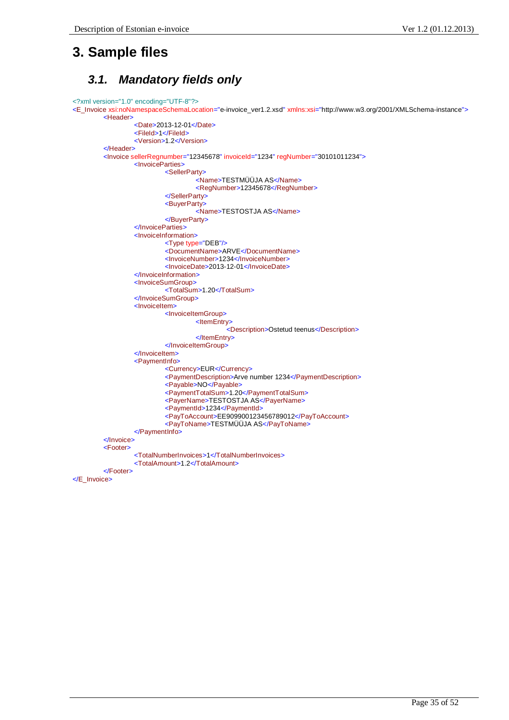# **3. Sample files**

### *3.1. Mandatory fields only*

```
<?xml version="1.0" encoding="UTF-8"?>
<E_Invoice xsi:noNamespaceSchemaLocation="e-invoice_ver1.2.xsd" xmlns:xsi="http://www.w3.org/2001/XMLSchema-instance">
        <Header>
                 <Date>2013-12-01</Date>
                 <FileId>1</FileId>
                  <Version>1.2</Version>
        </Header>
        <Invoice sellerRegnumber="12345678" invoiceId="1234" regNumber="30101011234">
                 <InvoiceParties>
                          <SellerParty>
                                   <Name>TESTMÜÜJA AS</Name>
                                   <RegNumber>12345678</RegNumber>
                          </SellerParty>
                          <BuyerParty>
                                   <Name>TESTOSTJA AS</Name>
                          </BuyerParty>
                 </InvoiceParties>
                 <InvoiceInformation>
                          <Type type="DEB"/>
                          <DocumentName>ARVE</DocumentName>
                          <InvoiceNumber>1234</InvoiceNumber>
                          <InvoiceDate>2013-12-01</InvoiceDate>
                 </InvoiceInformation>
                 <InvoiceSumGroup>
                          <TotalSum>1.20</TotalSum>
                 </InvoiceSumGroup>
                 <InvoiceItem>
                          <InvoiceItemGroup>
                                   <ItemEntry>
                                            <Description>Ostetud teenus</Description>
                                   </ItemEntry>
                          </InvoiceItemGroup>
                 </InvoiceItem>
                 <PaymentInfo>
                          <Currency>EUR</Currency>
                          <PaymentDescription>Arve number 1234</PaymentDescription>
                          <Payable>NO</Payable>
                          <PaymentTotalSum>1.20</PaymentTotalSum>
                          <PayerName>TESTOSTJA AS</PayerName>
                          <PaymentId>1234</PaymentId>
                          <PayToAccount>EE909900123456789012</PayToAccount>
                          <PayToName>TESTMÜÜJA AS</PayToName>
                 </PaymentInfo>
        </Invoice>
        <Footer>
                  <TotalNumberInvoices>1</TotalNumberInvoices>
                  <TotalAmount>1.2</TotalAmount>
        </Footer>
```
</E\_Invoice>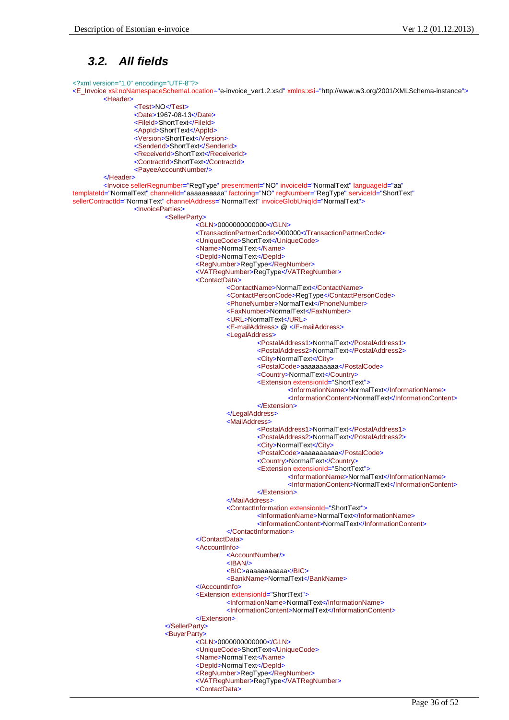### *3.2. All fields*

<?xml version="1.0" encoding="UTF-8"?>

<E\_Invoice xsi:noNamespaceSchemaLocation="e-invoice\_ver1.2.xsd" xmlns:xsi="http://www.w3.org/2001/XMLSchema-instance"> <Header>

<Test>NO</Test> <Date>1967-08-13</Date> <FileId>ShortText</FileId> <AppId>ShortText</AppId> <Version>ShortText</Version> <SenderId>ShortText</SenderId> <ReceiverId>ShortText</ReceiverId> <ContractId>ShortText</ContractId> <PayeeAccountNumber/>

</Header>

<Invoice sellerRegnumber="RegType" presentment="NO" invoiceId="NormalText" languageId="aa" templateId="NormalText" channelId="aaaaaaaaaa" factoring="NO" regNumber="RegType" serviceId="ShortText" sellerContractId="NormalText" channelAddress="NormalText" invoiceGlobUniqId="NormalText"> <InvoiceParties> <SellerParty> <GLN>0000000000000</GLN> <TransactionPartnerCode>000000</TransactionPartnerCode> <UniqueCode>ShortText</UniqueCode> <Name>NormalText</Name> <DepId>NormalText</DepId> <RegNumber>RegType</RegNumber> <VATRegNumber>RegType</VATRegNumber> <ContactData> <ContactName>NormalText</ContactName> <ContactPersonCode>RegType</ContactPersonCode>

<PhoneNumber>NormalText</PhoneNumber>

<FaxNumber>NormalText</FaxNumber>

<URL>NormalText</URL>

<E-mailAddress> @ </E-mailAddress>

<LegalAddress>

<PostalAddress1>NormalText</PostalAddress1>

<PostalAddress2>NormalText</PostalAddress2>

<City>NormalText</City>

<PostalCode>aaaaaaaaaa</PostalCode>

<Country>NormalText</Country>

<Extension extensionId="ShortText">

<InformationName>NormalText</InformationName>

<InformationContent>NormalText</InformationContent>

</Extension>

</LegalAddress>

<MailAddress>

<PostalAddress1>NormalText</PostalAddress1>

<PostalAddress2>NormalText</PostalAddress2>

<City>NormalText</City>

<PostalCode>aaaaaaaaaa</PostalCode>

<Country>NormalText</Country>

<Extension extensionId="ShortText">

<InformationName>NormalText</InformationName>

<InformationContent>NormalText</InformationContent>

</Extension>

</MailAddress>

<ContactInformation extensionId="ShortText">

<InformationName>NormalText</InformationName>

<InformationContent>NormalText</InformationContent>

</ContactInformation>

</ContactData>

<AccountInfo>

<AccountNumber/>

<IBAN/>

<BIC>aaaaaaaaaaa</BIC>

<BankName>NormalText</BankName>

</AccountInfo>

<Extension extensionId="ShortText">

<InformationName>NormalText</InformationName>

<InformationContent>NormalText</InformationContent>

</Extension>

</SellerParty>

<BuyerParty>

<GLN>0000000000000</GLN>

<UniqueCode>ShortText</UniqueCode>

<Name>NormalText</Name>

<DepId>NormalText</DepId>

<RegNumber>RegType</RegNumber>

<VATRegNumber>RegType</VATRegNumber>

<ContactData>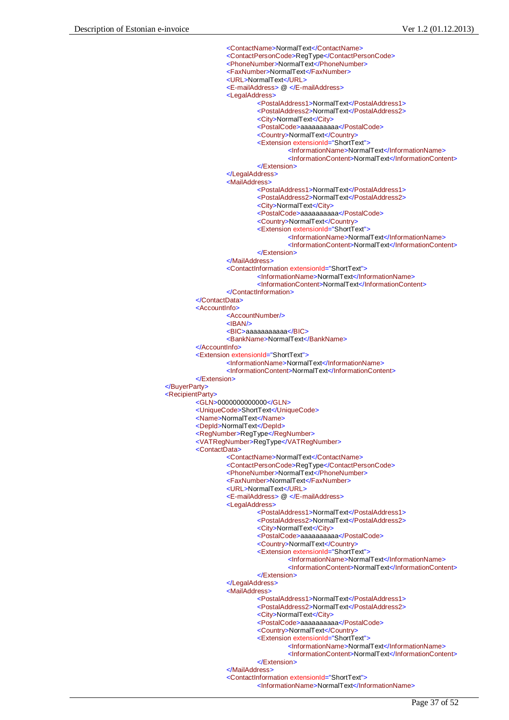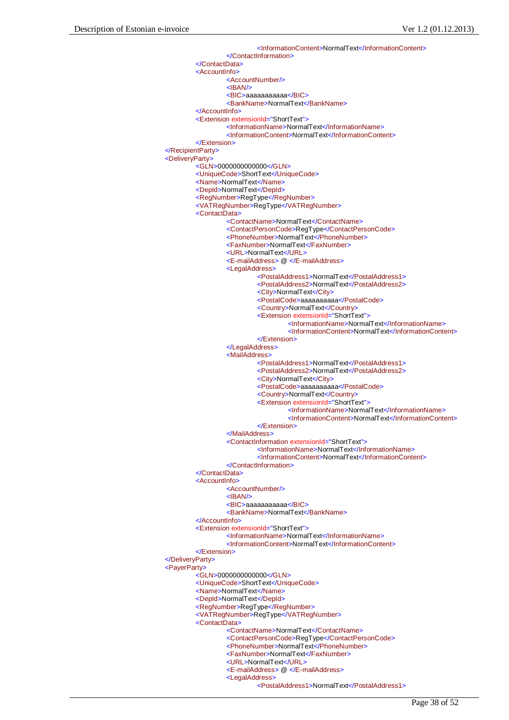<InformationContent>NormalText</InformationContent> </ContactInformation> </ContactData> <AccountInfo> <AccountNumber/> <IBAN/> <BIC>aaaaaaaaaaa</BIC> <BankName>NormalText</BankName> </AccountInfo> <Extension extensionId="ShortText"> <InformationName>NormalText</InformationName> <InformationContent>NormalText</InformationContent> </Extension> </RecipientParty> <DeliveryParty>  $<$ GLN>00000000000000</GLN> <UniqueCode>ShortText</UniqueCode> <Name>NormalText</Name> <DepId>NormalText</DepId> <RegNumber>RegType</RegNumber> <VATRegNumber>RegType</VATRegNumber> <ContactData> <ContactName>NormalText</ContactName> <ContactPersonCode>RegType</ContactPersonCode> <PhoneNumber>NormalText</PhoneNumber> <FaxNumber>NormalText</FaxNumber> <URL>NormalText</URL> <E-mailAddress> @ </E-mailAddress> <LegalAddress> <PostalAddress1>NormalText</PostalAddress1> <PostalAddress2>NormalText</PostalAddress2> <City>NormalText</City> <PostalCode>aaaaaaaaaa</PostalCode> <Country>NormalText</Country> <Extension extensionId="ShortText"> <InformationName>NormalText</InformationName> <InformationContent>NormalText</InformationContent> </Extension> </LegalAddress> <MailAddress> <PostalAddress1>NormalText</PostalAddress1> <PostalAddress2>NormalText</PostalAddress2> <City>NormalText</City> <PostalCode>aaaaaaaaaa</PostalCode> <Country>NormalText</Country> <Extension extensionId="ShortText"> <InformationName>NormalText</InformationName> <InformationContent>NormalText</InformationContent> </Extension> </MailAddress> <ContactInformation extensionId="ShortText"> <InformationName>NormalText</InformationName> <InformationContent>NormalText</InformationContent> </ContactInformation> </ContactData> <AccountInfo> <AccountNumber/> <IBAN/> <BIC>aaaaaaaaaaa</BIC> <BankName>NormalText</BankName> </AccountInfo> <Extension extensionId="ShortText"> <InformationName>NormalText</InformationName> <InformationContent>NormalText</InformationContent> </Extension> </DeliveryParty> <PayerParty> <GLN>0000000000000</GLN> <UniqueCode>ShortText</UniqueCode> <Name>NormalText</Name> <DepId>NormalText</DepId> <RegNumber>RegType</RegNumber> <VATRegNumber>RegType</VATRegNumber> <ContactData> <ContactName>NormalText</ContactName> <ContactPersonCode>RegType</ContactPersonCode> <PhoneNumber>NormalText</PhoneNumber> <FaxNumber>NormalText</FaxNumber> <URL>NormalText</URL> <E-mailAddress> @ </E-mailAddress> <LegalAddress>

<PostalAddress1>NormalText</PostalAddress1>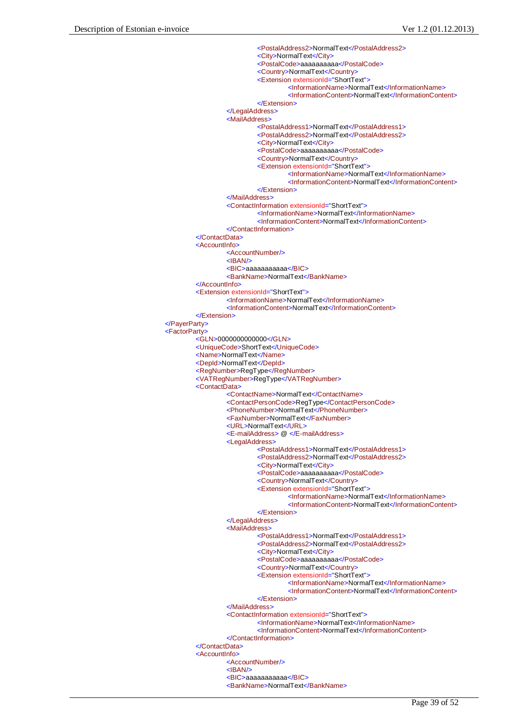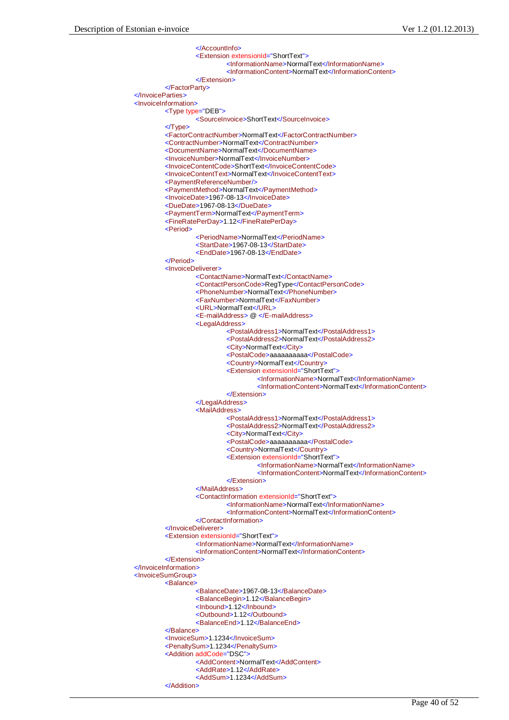</AccountInfo> <Extension extensionId="ShortText"> <InformationName>NormalText</InformationName> <InformationContent>NormalText</InformationContent> </Extension> </FactorParty> </InvoiceParties> <InvoiceInformation> <Type type="DEB"> <SourceInvoice>ShortText</SourceInvoice> </Type> <FactorContractNumber>NormalText</FactorContractNumber> <ContractNumber>NormalText</ContractNumber> <DocumentName>NormalText</DocumentName> <InvoiceNumber>NormalText</InvoiceNumber> <InvoiceContentCode>ShortText</InvoiceContentCode> <InvoiceContentText>NormalText</InvoiceContentText> <PaymentReferenceNumber/> <PaymentMethod>NormalText</PaymentMethod> <InvoiceDate>1967-08-13</InvoiceDate> <DueDate>1967-08-13</DueDate> <PaymentTerm>NormalText</PaymentTerm> <FineRatePerDay>1.12</FineRatePerDay> <Period> <PeriodName>NormalText</PeriodName> <StartDate>1967-08-13</StartDate> <EndDate>1967-08-13</EndDate>  $\n *Deeriod*$ <InvoiceDeliverer> <ContactName>NormalText</ContactName> <ContactPersonCode>RegType</ContactPersonCode> <PhoneNumber>NormalText</PhoneNumber> <FaxNumber>NormalText</FaxNumber> <URL>NormalText</URL> <E-mailAddress> @ </E-mailAddress> <LegalAddress> <PostalAddress1>NormalText</PostalAddress1> <PostalAddress2>NormalText</PostalAddress2> <City>NormalText</City> <PostalCode>aaaaaaaaaa</PostalCode> <Country>NormalText</Country> <Extension extensionId="ShortText"> <InformationName>NormalText</InformationName> <InformationContent>NormalText</InformationContent> </Extension> </LegalAddress> <MailAddress> <PostalAddress1>NormalText</PostalAddress1> <PostalAddress2>NormalText</PostalAddress2> <City>NormalText</City> <PostalCode>aaaaaaaaaa</PostalCode> <Country>NormalText</Country> <Extension extensionId="ShortText"> <InformationName>NormalText</InformationName> <InformationContent>NormalText</InformationContent> </Extension> </MailAddress> <ContactInformation extensionId="ShortText"> <InformationName>NormalText</InformationName> <InformationContent>NormalText</InformationContent> </ContactInformation> </InvoiceDeliverer> <Extension extensionId="ShortText"> <InformationName>NormalText</InformationName> <InformationContent>NormalText</InformationContent> </Extension> </InvoiceInformation> <InvoiceSumGroup> <Balance> <BalanceDate>1967-08-13</BalanceDate> <BalanceBegin>1.12</BalanceBegin> <Inbound>1.12</Inbound> <Outbound>1.12</Outbound> <BalanceEnd>1.12</BalanceEnd> </Balance> <InvoiceSum>1.1234</InvoiceSum> <PenaltySum>1.1234</PenaltySum> <Addition addCode="DSC"> <AddContent>NormalText</AddContent> <AddRate>1.12</AddRate> <AddSum>1.1234</AddSum>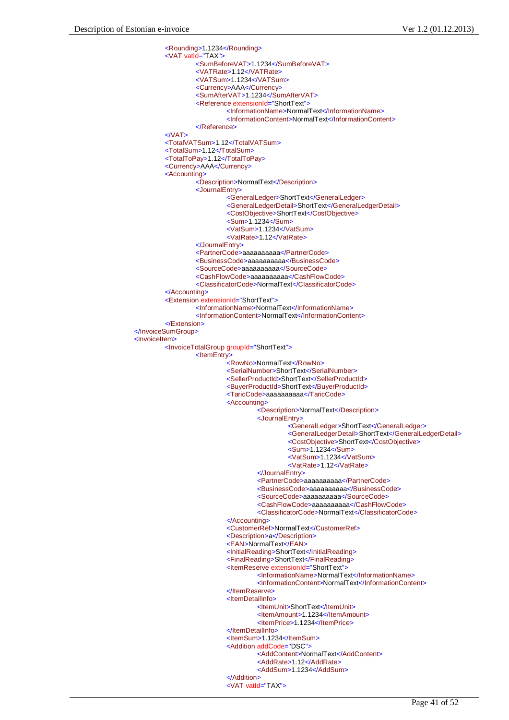```
<Rounding>1.1234</Rounding>
        <VAT vatId="TAX">
                  <SumBeforeVAT>1.1234</SumBeforeVAT>
                  <VATRate>1.12</VATRate>
                 <VATSum>1.1234</VATSum>
                  <Currency>AAA</Currency>
                  <SumAfterVAT>1.1234</SumAfterVAT>
                 <Reference extensionId="ShortText">
                           <InformationName>NormalText</InformationName>
                          <InformationContent>NormalText</InformationContent>
                  </Reference>
        </VAT><TotalVATSum>1.12</TotalVATSum>
        <TotalSum>1.12</TotalSum>
        <TotalToPay>1.12</TotalToPay>
        <Currency>AAA</Currency>
        <Accounting>
                 <Description>NormalText</Description>
                 <JournalEntry>
                           <GeneralLedger>ShortText</GeneralLedger>
                          <GeneralLedgerDetail>ShortText</GeneralLedgerDetail>
                          <CostObjective>ShortText</CostObjective>
                           <Sum>1.1234</Sum>
                          <VatSum>1.1234</VatSum>
                           <VatRate>1.12</VatRate>
                 </JournalEntry>
                 <PartnerCode>aaaaaaaaaa</PartnerCode>
                  <BusinessCode>aaaaaaaaaa</BusinessCode>
                 <SourceCode>aaaaaaaaaa</SourceCode>
                 <CashFlowCode>aaaaaaaaaa</CashFlowCode>
                  <ClassificatorCode>NormalText</ClassificatorCode>
        </Accounting>
        <Extension extensionId="ShortText">
                 <InformationName>NormalText</InformationName>
                 <InformationContent>NormalText</InformationContent>
        </Extension>
</InvoiceSumGroup>
<InvoiceItem>
        <InvoiceTotalGroup groupId="ShortText">
                 <ItemEntry>
                          <RowNo>NormalText</RowNo>
                           <SerialNumber>ShortText</SerialNumber>
                          <SellerProductId>ShortText</SellerProductId>
                          <BuyerProductId>ShortText</BuyerProductId>
                           <TaricCode>aaaaaaaaaa</TaricCode>
                           <Accounting>
                                    <Description>NormalText</Description>
                                    <JournalEntry>
                                             <GeneralLedger>ShortText</GeneralLedger>
                                             <GeneralLedgerDetail>ShortText</GeneralLedgerDetail>
                                             <CostObjective>ShortText</CostObjective>
                                             <Sum>1.1234</Sum>
                                             <VatSum>1.1234</VatSum>
                                             <VatRate>1.12</VatRate>
                                    </JournalEntry>
                                    <PartnerCode>aaaaaaaaaa</PartnerCode>
                                    <BusinessCode>aaaaaaaaaa</BusinessCode>
                                    <SourceCode>aaaaaaaaaa</SourceCode>
                                    <CashFlowCode>aaaaaaaaaa</CashFlowCode>
                                    <ClassificatorCode>NormalText</ClassificatorCode>
                           </Accounting>
                           <CustomerRef>NormalText</CustomerRef>
                          <Description>a</Description>
                           <EAN>NormalText</EAN>
                          <InitialReading>ShortText</InitialReading>
                          <FinalReading>ShortText</FinalReading>
                          <ItemReserve extensionId="ShortText">
                                    <InformationName>NormalText</InformationName>
                                    <InformationContent>NormalText</InformationContent>
                           </ItemReserve>
                           <ItemDetailInfo>
                                    <ItemUnit>ShortText</ItemUnit>
                                    <ItemAmount>1.1234</ItemAmount>
                                    <ItemPrice>1.1234</ItemPrice>
                           </ItemDetailInfo>
                           <ItemSum>1.1234</ItemSum>
                           <Addition addCode="DSC">
                                    <AddContent>NormalText</AddContent>
                                    <AddRate>1.12</AddRate>
                                    <AddSum>1.1234</AddSum>
                           </Addition>
                           <VAT vatId="TAX">
```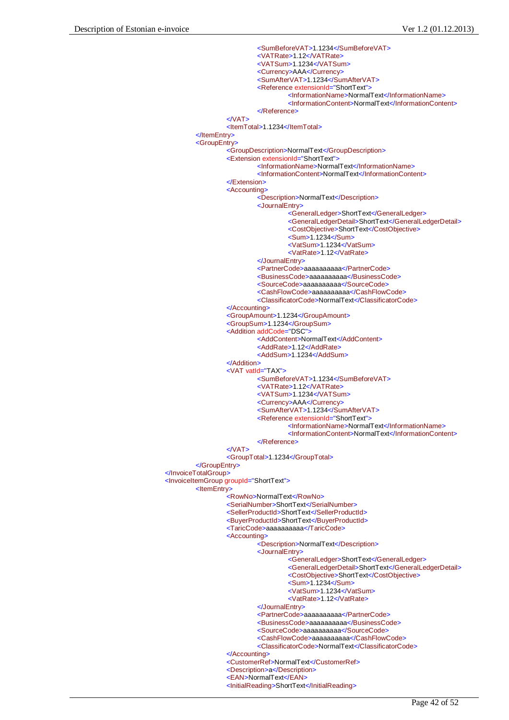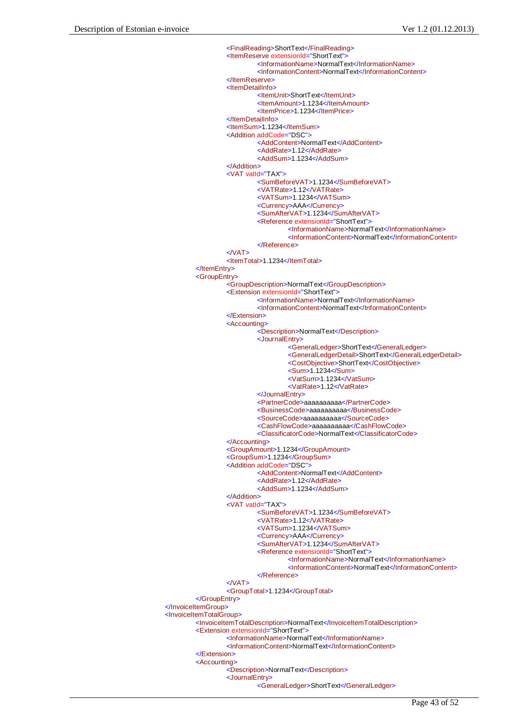```
<FinalReading>ShortText</FinalReading>
                  <ItemReserve extensionId="ShortText">
                           <InformationName>NormalText</InformationName>
                           <InformationContent>NormalText</InformationContent>
                  </ItemReserve>
                  <ItemDetailInfo>
                           <ItemUnit>ShortText</ItemUnit>
                           <ItemAmount>1.1234</ItemAmount>
                           <ItemPrice>1.1234</ItemPrice>
                  </ItemDetailInfo>
                  <ItemSum>1.1234</ItemSum>
                  <Addition addCode="DSC">
                           <AddContent>NormalText</AddContent>
                           <AddRate>1.12</AddRate>
                           <AddSum>1.1234</AddSum>
                  </Addition>
                  <VAT vatId="TAX">
                           <SumBeforeVAT>1.1234</SumBeforeVAT>
                           <VATRate>1.12</VATRate>
                           <VATSum>1.1234</VATSum>
                           <Currency>AAA</Currency>
                           <SumAfterVAT>1.1234</SumAfterVAT>
                           <Reference extensionId="ShortText">
                                    <InformationName>NormalText</InformationName>
                                    <InformationContent>NormalText</InformationContent>
                           </Reference>
                  <NAT><ItemTotal>1.1234</ItemTotal>
         </ItemEntry>
         <GroupEntry>
                  <GroupDescription>NormalText</GroupDescription>
                  <Extension extensionId="ShortText">
                           <InformationName>NormalText</InformationName>
                           <InformationContent>NormalText</InformationContent>
                  </Extension>
                  <Accounting>
                           <Description>NormalText</Description>
                           <JournalEntry>
                                    <GeneralLedger>ShortText</GeneralLedger>
                                    <GeneralLedgerDetail>ShortText</GeneralLedgerDetail>
                                    <CostObjective>ShortText</CostObjective>
                                    <Sum>1.1234</Sum>
                                    <VatSum>1.1234</VatSum>
                                    <VatRate>1.12</VatRate>
                           </JournalEntry>
                           <PartnerCode>aaaaaaaaaa</PartnerCode>
                           <BusinessCode>aaaaaaaaaa</BusinessCode>
                           <SourceCode>aaaaaaaaaa</SourceCode>
                           <CashFlowCode>aaaaaaaaaa</CashFlowCode>
                           <ClassificatorCode>NormalText</ClassificatorCode>
                  </Accounting>
                  <GroupAmount>1.1234</GroupAmount>
                  <GroupSum>1.1234</GroupSum>
                  <Addition addCode="DSC">
                           <AddContent>NormalText</AddContent>
                           <AddRate>1.12</AddRate>
                           <AddSum>1.1234</AddSum>
                  </Addition>
                  <VAT vatId="TAX">
                           <SumBeforeVAT>1.1234</SumBeforeVAT>
                           <VATRate>1.12</VATRate>
                           <VATSum>1.1234</VATSum>
                           <Currency>AAA</Currency>
                           <SumAfterVAT>1.1234</SumAfterVAT>
                           <Reference extensionId="ShortText">
                                    <InformationName>NormalText</InformationName>
                                    <InformationContent>NormalText</InformationContent>
                           </Reference>
                  <NAT><GroupTotal>1.1234</GroupTotal>
         </GroupEntry>
</InvoiceItemGroup>
<InvoiceItemTotalGroup>
        <InvoiceItemTotalDescription>NormalText</InvoiceItemTotalDescription>
         <Extension extensionId="ShortText">
                  <InformationName>NormalText</InformationName>
                  <InformationContent>NormalText</InformationContent>
         </Extension>
         <Accounting>
                  <Description>NormalText</Description>
                  <JournalEntry>
                           <GeneralLedger>ShortText</GeneralLedger>
```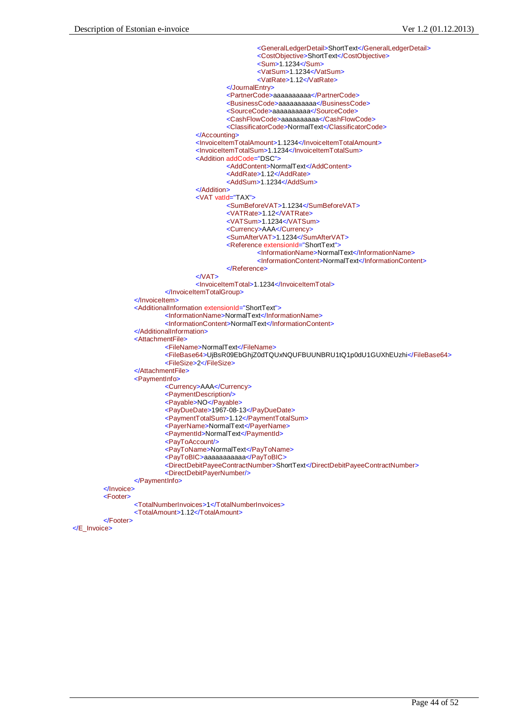```
<GeneralLedgerDetail>ShortText</GeneralLedgerDetail>
                                            <CostObjective>ShortText</CostObjective>
                                            <Sum>1.1234</Sum>
                                            <VatSum>1.1234</VatSum>
                                            <VatRate>1.12</VatRate>
                                   </JournalEntry>
                                   <PartnerCode>aaaaaaaaaa</PartnerCode>
                                   <BusinessCode>aaaaaaaaaa</BusinessCode>
                                   <SourceCode>aaaaaaaaaa</SourceCode>
                                   <CashFlowCode>aaaaaaaaaa</CashFlowCode>
                                   <ClassificatorCode>NormalText</ClassificatorCode>
                          </Accounting>
                          <InvoiceItemTotalAmount>1.1234</InvoiceItemTotalAmount>
                          <InvoiceItemTotalSum>1.1234</InvoiceItemTotalSum>
                          <Addition addCode="DSC">
                                   <AddContent>NormalText</AddContent>
                                   <AddRate>1.12</AddRate>
                                   <AddSum>1.1234</AddSum>
                          </Addition>
                          <VAT vatId="TAX">
                                   <SumBeforeVAT>1.1234</SumBeforeVAT>
                                   <VATRate>1.12</VATRate>
                                   <VATSum>1.1234</VATSum>
                                   <Currency>AAA</Currency>
                                   <SumAfterVAT>1.1234</SumAfterVAT>
                                   <Reference extensionId="ShortText">
                                            <InformationName>NormalText</InformationName>
                                            <InformationContent>NormalText</InformationContent>
                                   </Reference>
                          </VAT><InvoiceItemTotal>1.1234</InvoiceItemTotal>
                 </InvoiceItemTotalGroup>
        </InvoiceItem>
        <AdditionalInformation extensionId="ShortText">
                 <InformationName>NormalText</InformationName>
                  <InformationContent>NormalText</InformationContent>
        </AdditionalInformation>
        <AttachmentFile>
                  <FileName>NormalText</FileName>
                 <FileBase64>UjBsR09EbGhjZ0dTQUxNQUFBUUNBRU1tQ1p0dU1GUXhEUzhi</FileBase64>
                 <FileSize>2</FileSize>
        </AttachmentFile>
        <PaymentInfo>
                 <Currency>AAA</Currency>
                 <PaymentDescription/>
                 <Payable>NO</Payable>
                 <PayDueDate>1967-08-13</PayDueDate>
                 <PaymentTotalSum>1.12</PaymentTotalSum>
                 <PayerName>NormalText</PayerName>
                 <PaymentId>NormalText</PaymentId>
                 <PayToAccount/>
                 <PayToName>NormalText</PayToName>
                 <PayToBIC>aaaaaaaaaaa</PayToBIC>
                 <DirectDebitPayeeContractNumber>ShortText</DirectDebitPayeeContractNumber>
                 <DirectDebitPayerNumber/>
        </PaymentInfo>
</Invoice>
<Footer>
         <TotalNumberInvoices>1</TotalNumberInvoices>
         <TotalAmount>1.12</TotalAmount>
</Footer>
```
</E\_Invoice>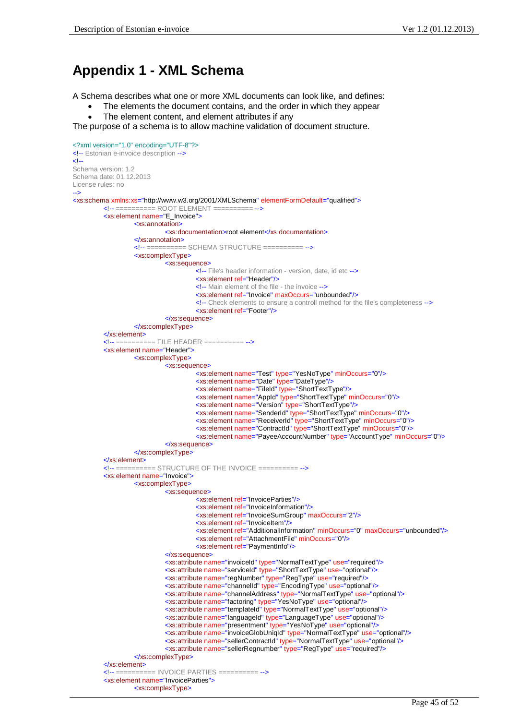# **Appendix 1 - XML Schema**

A Schema describes what one or more XML documents can look like, and defines:

- The elements the document contains, and the order in which they appear
- The element content, and element attributes if any

The purpose of a schema is to allow machine validation of document structure.

```
<?xml version="1.0" encoding="UTF-8"?>
<!-- Estonian e-invoice description -->
\leqSchema version: 1.2
Schema date: 01.12.2013
License rules: no
-->
<xs:schema xmlns:xs="http://www.w3.org/2001/XMLSchema" elementFormDefault="qualified">
         <!-- ========== ROOT ELEMENT ========== -->
         <xs:element name="E_Invoice">
                   <xs:annotation>
                            <xs:documentation>root element</xs:documentation>
                   </xs:annotation>
                   <!-- ========== SCHEMA STRUCTURE ========== -->
                   <xs:complexType>
                            <xs:sequence>
                                      <!-- File's header information - version, date, id etc -->
                                      <xs:element ref="Header"/>
                                      <!-- Main element of the file - the invoice -->
                                      <xs:element ref="Invoice" maxOccurs="unbounded"/>
                                      <!-- Check elements to ensure a controll method for the file's completeness -->
                                      <xs:element ref="Footer"/>
                            </xs:sequence>
                   </xs:complexType>
         </xs:element>
         <!-- ========== FILE HEADER ========== -->
         <xs:element name="Header">
                   <xs:complexType>
                            <xs:sequence>
                                      <xs:element name="Test" type="YesNoType" minOccurs="0"/>
                                      <xs:element name="Date" type="DateType"/>
                                      <xs:element name="FileId" type="ShortTextType"/>
                                      <xs:element name="AppId" type="ShortTextType" minOccurs="0"/>
                                      <xs:element name="Version" type="ShortTextType"/>
                                      <xs:element name="SenderId" type="ShortTextType" minOccurs="0"/>
                                      <xs:element name="ReceiverId" type="ShortTextType" minOccurs="0"/>
                                      <xs:element name="ContractId" type="ShortTextType" minOccurs="0"/>
                                      <xs:element name="PayeeAccountNumber" type="AccountType" minOccurs="0"/>
                            </xs:sequence>
                   </xs:complexType>
         </xs:element>
         <!-- ========== STRUCTURE OF THE INVOICE ========== -->
         <xs:element name="Invoice">
                   <xs:complexType>
                            <xs:sequence>
                                      <xs:element ref="InvoiceParties"/>
                                      <xs:element ref="InvoiceInformation"/>
                                      <xs:element ref="InvoiceSumGroup" maxOccurs="2"/>
                                      <xs:element ref="InvoiceItem"/>
                                      <xs:element ref="AdditionalInformation" minOccurs="0" maxOccurs="unbounded"/>
                                      <xs:element ref="AttachmentFile" minOccurs="0"/>
                                      <xs:element ref="PaymentInfo"/>
                            </xs:sequence>
                            <xs:attribute name="invoiceId" type="NormalTextType" use="required"/>
                            <xs:attribute name="serviceId" type="ShortTextType" use="optional"/>
                            <xs:attribute name="regNumber" type="RegType" use="required"/>
                            <xs:attribute name="channelId" type="EncodingType" use="optional"/>
                            <xs:attribute name="channelAddress" type="NormalTextType" use="optional"/>
                            <xs:attribute name="factoring" type="YesNoType" use="optional"/>
                            <xs:attribute name="templateId" type="NormalTextType" use="optional"/>
                            <xs:attribute name="languageId" type="LanguageType" use="optional"/>
                            <xs:attribute name="presentment" type="YesNoType" use="optional"/>
                            <xs:attribute name="invoiceGlobUniqId" type="NormalTextType" use="optional"/>
                            <xs:attribute name="sellerContractId" type="NormalTextType" use="optional"/>
                            <xs:attribute name="sellerRegnumber" type="RegType" use="required"/>
                   </xs:complexType>
         </xs:element>
         <!-- ========== INVOICE PARTIES ========== -->
         <xs:element name="InvoiceParties">
                   <xs:complexType>
```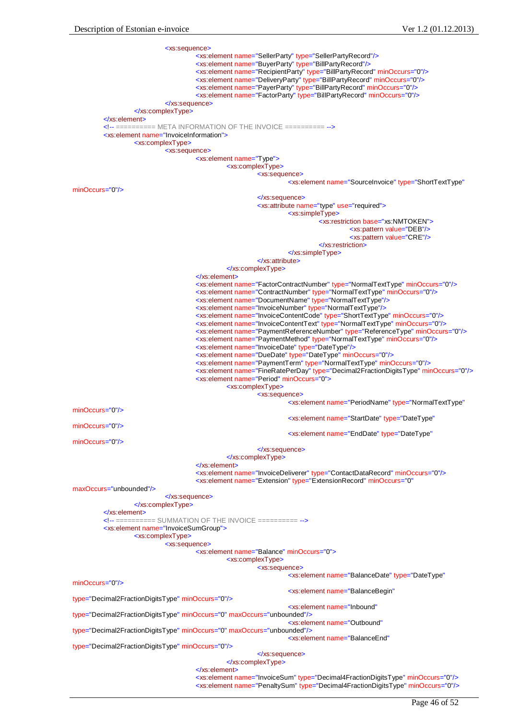

Page 46 of 52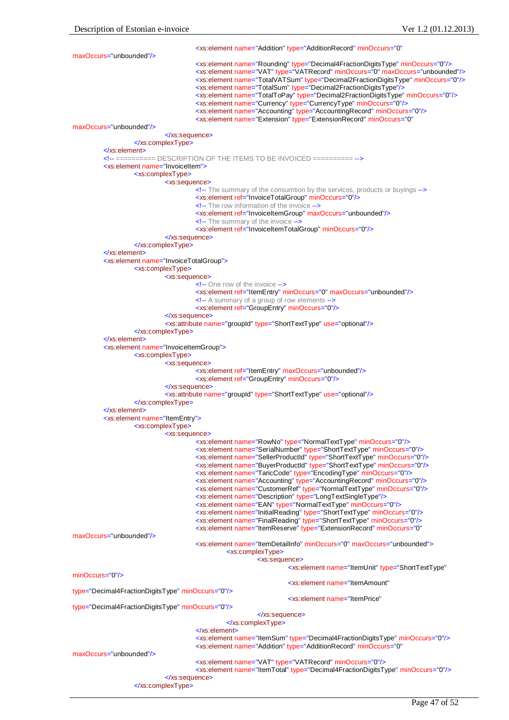<xs:element name="Addition" type="AdditionRecord" minOccurs="0" maxOccurs="unbounded"/> <xs:element name="Rounding" type="Decimal4FractionDigitsType" minOccurs="0"/> <xs:element name="VAT" type="VATRecord" minOccurs="0" maxOccurs="unbounded"/> <xs:element name="TotalVATSum" type="Decimal2FractionDigitsType" minOccurs="0"/> <xs:element name="TotalSum" type="Decimal2FractionDigitsType"/> <xs:element name="TotalToPay" type="Decimal2FractionDigitsType" minOccurs="0"/> <xs:element name="Currency" type="CurrencyType" minOccurs="0"/> <xs:element name="Accounting" type="AccountingRecord" minOccurs="0"/> <xs:element name="Extension" type="ExtensionRecord" minOccurs="0" maxOccurs="unbounded"/> </xs:sequence> </xs:complexType> </xs:element> <!-- ========== DESCRIPTION OF THE ITEMS TO BE INVOICED ========== --> <xs:element name="InvoiceItem"> <xs:complexType> <xs:sequence> <!-- The summary of the consumtion by the services, products or buyings --> <xs:element ref="InvoiceTotalGroup" minOccurs="0"/> <!-- The row information of the invoice --> <xs:element ref="InvoiceItemGroup" maxOccurs="unbounded"/> <!-- The summary of the invoice --> <xs:element ref="InvoiceItemTotalGroup" minOccurs="0"/> </xs:sequence> </xs:complexType> </xs:element> <xs:element name="InvoiceTotalGroup"> <xs:complexType> <xs:sequence> <!-- One row of the invoice --> <xs:element ref="ItemEntry" minOccurs="0" maxOccurs="unbounded"/> <!-- A summary of a group of row elements --> <xs:element ref="GroupEntry" minOccurs="0"/> </xs:sequence> <xs:attribute name="groupId" type="ShortTextType" use="optional"/> </xs:complexType> </xs:element> <xs:element name="InvoiceItemGroup"> <xs:complexType> <xs:sequence> <xs:element ref="ItemEntry" maxOccurs="unbounded"/> <xs:element ref="GroupEntry" minOccurs="0"/> </xs:sequence> <xs:attribute name="groupId" type="ShortTextType" use="optional"/> </xs:complexType> </xs:element> <xs:element name="ItemEntry"> <xs:complexType> <xs:sequence> <xs:element name="RowNo" type="NormalTextType" minOccurs="0"/> <xs:element name="SerialNumber" type="ShortTextType" minOccurs="0"/> <xs:element name="SellerProductId" type="ShortTextType" minOccurs="0"/> <xs:element name="BuyerProductId" type="ShortTextType" minOccurs="0"/> <xs:element name="TaricCode" type="EncodingType" minOccurs="0"/> <xs:element name="Accounting" type="AccountingRecord" minOccurs="0"/> <xs:element name="CustomerRef" type="NormalTextType" minOccurs="0"/> <xs:element name="Description" type="LongTextSingleType"/> <xs:element name="EAN" type="NormalTextType" minOccurs="0"/> <xs:element name="InitialReading" type="ShortTextType" minOccurs="0"/> <xs:element name="FinalReading" type="ShortTextType" minOccurs="0"/> <xs:element name="ItemReserve" type="ExtensionRecord" minOccurs="0" maxOccurs="unbounded"/> <xs:element name="ItemDetailInfo" minOccurs="0" maxOccurs="unbounded"> <xs:complexType> <xs:sequence> <xs:element name="ItemUnit" type="ShortTextType" minOccurs="0"/> <xs:element name="ItemAmount" type="Decimal4FractionDigitsType" minOccurs="0"/> <xs:element name="ItemPrice" type="Decimal4FractionDigitsType" minOccurs="0"/> </xs:sequence> </xs:complexType> </xs:element> <xs:element name="ItemSum" type="Decimal4FractionDigitsType" minOccurs="0"/> <xs:element name="Addition" type="AdditionRecord" minOccurs="0" maxOccurs="unbounded"/> <xs:element name="VAT" type="VATRecord" minOccurs="0"/> <xs:element name="ItemTotal" type="Decimal4FractionDigitsType" minOccurs="0"/> </xs:sequence> </xs:complexType>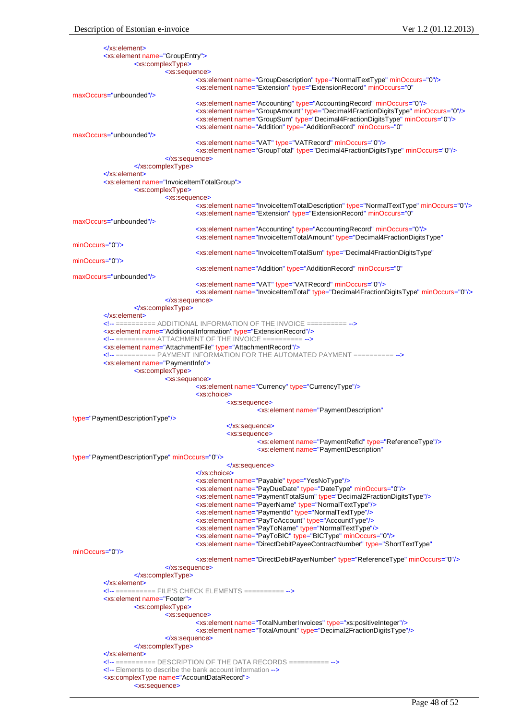<xs:sequence>

| $\langle$ xs:element                                       |                                                                                                                                                                                       |
|------------------------------------------------------------|---------------------------------------------------------------------------------------------------------------------------------------------------------------------------------------|
| <xs:element name="GroupEntry"></xs:element>                |                                                                                                                                                                                       |
| <xs:complextype></xs:complextype>                          |                                                                                                                                                                                       |
|                                                            | <xs:sequence></xs:sequence>                                                                                                                                                           |
|                                                            | <xs:element minoccurs="0" name="GroupDescription" type="NormalTextType"></xs:element>                                                                                                 |
|                                                            | <xs:element <="" minoccurs="0" name="Extension" td="" type="ExtensionRecord"></xs:element>                                                                                            |
| maxOccurs="unbounded"/>                                    |                                                                                                                                                                                       |
|                                                            | <xs:element minoccurs="0" name="Accounting" type="AccountingRecord"></xs:element>                                                                                                     |
|                                                            | <xs:element minoccurs="0" name="GroupAmount" type="Decimal4FractionDigitsType"></xs:element>                                                                                          |
|                                                            | <xs:element minoccurs="0" name="GroupSum" type="Decimal4FractionDigitsType"></xs:element><br><xs:element <="" minoccurs="0" name="Addition" td="" type="AdditionRecord"></xs:element> |
| maxOccurs="unbounded"/>                                    |                                                                                                                                                                                       |
|                                                            | <xs:element minoccurs="0" name="VAT" type="VATRecord"></xs:element>                                                                                                                   |
|                                                            | <xs:element minoccurs="0" name="GroupTotal" type="Decimal4FractionDigitsType"></xs:element>                                                                                           |
|                                                            | $\le$ /xs:sequence>                                                                                                                                                                   |
| $\langle x \rangle$ xs:complexType>                        |                                                                                                                                                                                       |
| $\le$ /xs:element>                                         |                                                                                                                                                                                       |
| <xs:element name="InvoiceItemTotalGroup"></xs:element>     |                                                                                                                                                                                       |
| <xs:complextype></xs:complextype>                          |                                                                                                                                                                                       |
|                                                            | <xs:sequence></xs:sequence>                                                                                                                                                           |
|                                                            | <xs:element minoccurs="0" name="lnvoiceItemTotalDescription" type="NormalTextType"></xs:element>                                                                                      |
|                                                            | <xs:element <="" minoccurs="0" name="Extension" td="" type="ExtensionRecord"></xs:element>                                                                                            |
| maxOccurs="unbounded"/>                                    |                                                                                                                                                                                       |
|                                                            | <xs:element minoccurs="0" name="Accounting" type="AccountingRecord"></xs:element>                                                                                                     |
|                                                            | <xs:element <="" name="InvoiceItemTotalAmount" td="" type="Decimal4FractionDigitsType"></xs:element>                                                                                  |
| minOccurs="0"/>                                            |                                                                                                                                                                                       |
|                                                            | <xs:element <="" name="InvoiceItemTotalSum" td="" type="Decimal4FractionDigitsType"></xs:element>                                                                                     |
| minOccurs="0"/>                                            |                                                                                                                                                                                       |
|                                                            | <xs:element <="" minoccurs="0" name="Addition" td="" type="AdditionRecord"></xs:element>                                                                                              |
| maxOccurs="unbounded"/>                                    |                                                                                                                                                                                       |
|                                                            | <xs:element minoccurs="0" name="VAT" type="VATRecord"></xs:element><br><xs:element minoccurs="0" name="InvoiceItemTotal" type="Decimal4FractionDigitsType"></xs:element>              |
|                                                            |                                                                                                                                                                                       |
|                                                            | $\langle$ xs:sequence>                                                                                                                                                                |
|                                                            |                                                                                                                                                                                       |
|                                                            | ========== ADDITIONAL INFORMATION OF THE INVOICE ==========                                                                                                                           |
|                                                            | <xs: element="" name="AdditionalInformation" type="ExtensionRecord"></xs:>                                                                                                            |
|                                                            |                                                                                                                                                                                       |
|                                                            | <xs:element name="AttachmentFile" type="AttachmentRecord"></xs:element>                                                                                                               |
|                                                            | ========== PAYMENT INFORMATION FOR THE AUTOMATED PAYMENT ==========                                                                                                                   |
| <xs: element="" name="PaymentInfo"></xs:>                  |                                                                                                                                                                                       |
| <xs:complextype></xs:complextype>                          |                                                                                                                                                                                       |
|                                                            | <xs:sequence></xs:sequence>                                                                                                                                                           |
|                                                            | <xs:element name="Currency" type="CurrencyType"></xs:element>                                                                                                                         |
|                                                            | <xs:choice></xs:choice>                                                                                                                                                               |
|                                                            | <xs:sequence></xs:sequence>                                                                                                                                                           |
|                                                            | <xs:element <="" name="PaymentDescription" td=""></xs:element>                                                                                                                        |
| type="PaymentDescriptionType"/>                            |                                                                                                                                                                                       |
|                                                            | $\langle$ xs:sequence>                                                                                                                                                                |
|                                                            | <xs:sequence></xs:sequence>                                                                                                                                                           |
|                                                            | <xs:element name="PaymentRefld" type="ReferenceType"></xs:element>                                                                                                                    |
|                                                            | <xs: <="" element="" name="PaymentDescription" td=""></xs:>                                                                                                                           |
| type="PaymentDescriptionType" minOccurs="0"/>              |                                                                                                                                                                                       |
|                                                            | <br>$\le$ /xs:choice>                                                                                                                                                                 |
|                                                            | <xs:element name="Payable" type="YesNoType"></xs:element>                                                                                                                             |
|                                                            | <xs:element minoccurs="0" name="PayDueDate" type="DateType"></xs:element>                                                                                                             |
|                                                            | <xs:element name="PaymentTotalSum" type="Decimal2FractionDigitsType"></xs:element>                                                                                                    |
|                                                            | <xs:element name="PayerName" type="NormalTextType"></xs:element>                                                                                                                      |
|                                                            | <xs:element name="PaymentId" type="NormalTextType"></xs:element>                                                                                                                      |
|                                                            | <xs:element name="PayToAccount" type="AccountType"></xs:element>                                                                                                                      |
|                                                            | <xs:element name="PayToName" type="NormalTextType"></xs:element>                                                                                                                      |
|                                                            | <xs:element minoccurs="0" name="PayToBIC" type="BICType"></xs:element>                                                                                                                |
|                                                            | <xs:element <="" name="DirectDebitPayeeContractNumber" td="" type="ShortTextType"></xs:element>                                                                                       |
| minOccurs="0"/>                                            |                                                                                                                                                                                       |
|                                                            | <xs:element minoccurs="0" name="DirectDebitPayerNumber" type="ReferenceType"></xs:element>                                                                                            |
|                                                            | $\langle$ xs:sequence>                                                                                                                                                                |
|                                                            |                                                                                                                                                                                       |
| $\le$ /xs:element>                                         |                                                                                                                                                                                       |
|                                                            |                                                                                                                                                                                       |
| <xs:element name="Footer"></xs:element>                    |                                                                                                                                                                                       |
| <xs:complextype></xs:complextype>                          |                                                                                                                                                                                       |
|                                                            | <xs:sequence></xs:sequence>                                                                                                                                                           |
|                                                            | <xs:element name="TotalNumberInvoices" type="xs:positiveInteger"></xs:element>                                                                                                        |
|                                                            | <xs:element name="TotalAmount" type="Decimal2FractionDigitsType"></xs:element>                                                                                                        |
|                                                            | $\langle$ xs:sequence>                                                                                                                                                                |
|                                                            |                                                                                                                                                                                       |
| $\le$ /xs:element>                                         |                                                                                                                                                                                       |
|                                                            | ========== DESCRIPTION OF THE DATA RECORDS ==========                                                                                                                                 |
|                                                            | Elements to describe the bank account information                                                                                                                                     |
| <xs:complextype name="AccountDataRecord"></xs:complextype> |                                                                                                                                                                                       |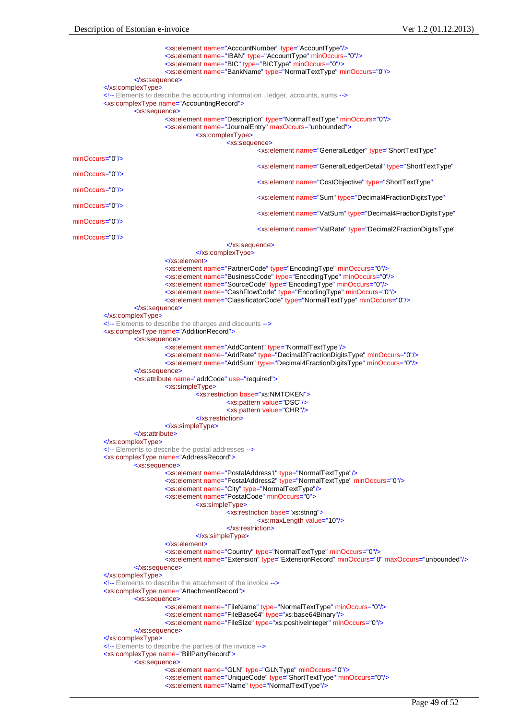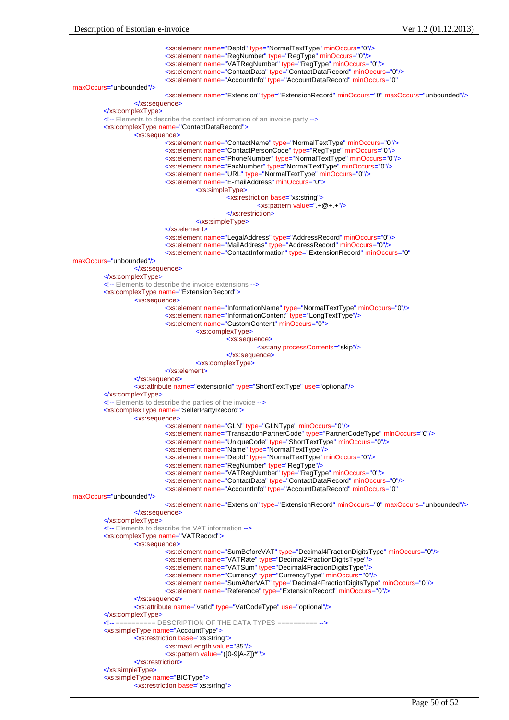<xs:element name="DepId" type="NormalTextType" minOccurs="0"/> <xs:element name="RegNumber" type="RegType" minOccurs="0"/> <xs:element name="VATRegNumber" type="RegType" minOccurs="0"/> <xs:element name="ContactData" type="ContactDataRecord" minOccurs="0"/> <xs:element name="AccountInfo" type="AccountDataRecord" minOccurs="0" maxOccurs="unbounded"/> <xs:element name="Extension" type="ExtensionRecord" minOccurs="0" maxOccurs="unbounded"/> </xs:sequence> </xs:complexType> <!-- Elements to describe the contact information of an invoice party --> <xs:complexType name="ContactDataRecord"> <xs:sequence> <xs:element name="ContactName" type="NormalTextType" minOccurs="0"/> <xs:element name="ContactPersonCode" type="RegType" minOccurs="0"/> <xs:element name="PhoneNumber" type="NormalTextType" minOccurs="0"/> <xs:element name="FaxNumber" type="NormalTextType" minOccurs="0"/> <xs:element name="URL" type="NormalTextType" minOccurs="0"/> <xs:element name="E-mailAddress" minOccurs="0"> <xs:simpleType> <xs:restriction base="xs:string"> <xs:pattern value=".+@+.+"/> </xs:restriction> </xs:simpleType> </xs:element> <xs:element name="LegalAddress" type="AddressRecord" minOccurs="0"/> <xs:element name="MailAddress" type="AddressRecord" minOccurs="0"/> <xs:element name="ContactInformation" type="ExtensionRecord" minOccurs="0" maxOccurs="unbounded"/> </xs:sequence> </xs:complexType> <!-- Elements to describe the invoice extensions --> <xs:complexType name="ExtensionRecord"> <xs:sequence> <xs:element name="InformationName" type="NormalTextType" minOccurs="0"/> <xs:element name="InformationContent" type="LongTextType"/> <xs:element name="CustomContent" minOccurs="0"> <xs:complexType> <xs:sequence> <xs:any processContents="skip"/> </xs:sequence> </xs:complexType> </xs:element> </xs:sequence> <xs:attribute name="extensionId" type="ShortTextType" use="optional"/> </xs:complexType> <!-- Elements to describe the parties of the invoice --> <xs:complexType name="SellerPartyRecord"> <xs:sequence> <xs:element name="GLN" type="GLNType" minOccurs="0"/> <xs:element name="TransactionPartnerCode" type="PartnerCodeType" minOccurs="0"/> <xs:element name="UniqueCode" type="ShortTextType" minOccurs="0"/> <xs:element name="Name" type="NormalTextType"/> <xs:element name="DepId" type="NormalTextType" minOccurs="0"/> <xs:element name="RegNumber" type="RegType"/> <xs:element name="VATRegNumber" type="RegType" minOccurs="0"/> <xs:element name="ContactData" type="ContactDataRecord" minOccurs="0"/> <xs:element name="AccountInfo" type="AccountDataRecord" minOccurs="0" maxOccurs="unbounded"/> <xs:element name="Extension" type="ExtensionRecord" minOccurs="0" maxOccurs="unbounded"/> </xs:sequence> </xs:complexType> <!-- Elements to describe the VAT information --> <xs:complexType name="VATRecord"> <xs:sequence> <xs:element name="SumBeforeVAT" type="Decimal4FractionDigitsType" minOccurs="0"/> <xs:element name="VATRate" type="Decimal2FractionDigitsType"/> <xs:element name="VATSum" type="Decimal4FractionDigitsType"/> <xs:element name="Currency" type="CurrencyType" minOccurs="0"/> <xs:element name="SumAfterVAT" type="Decimal4FractionDigitsType" minOccurs="0"/> <xs:element name="Reference" type="ExtensionRecord" minOccurs="0"/> </xs:sequence> <xs:attribute name="vatId" type="VatCodeType" use="optional"/> </xs:complexType> <!-- ========== DESCRIPTION OF THE DATA TYPES ========== --> <xs:simpleType name="AccountType"> <xs:restriction base="xs:string"> <xs:maxLength value="35"/> <xs:pattern value="([0-9|A-Z])\*"/> </xs:restriction> </xs:simpleType> <xs:simpleType name="BICType"> <xs:restriction base="xs:string">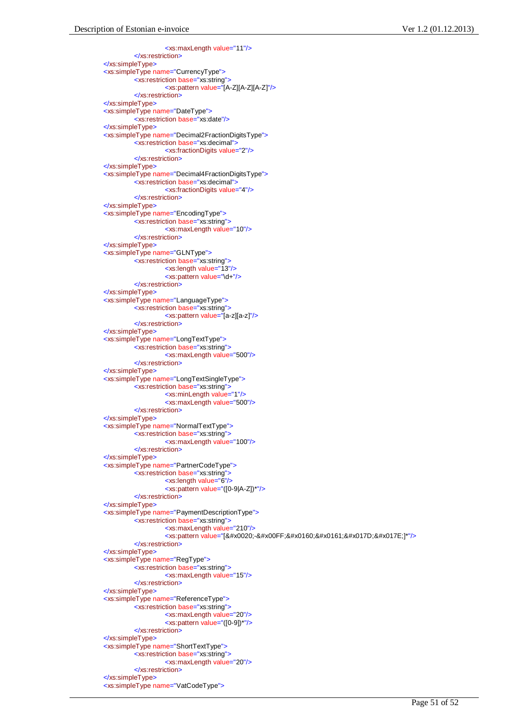<xs:maxLength value="11"/> </xs:restriction> </xs:simpleType> <xs:simpleType name="CurrencyType"> <xs:restriction base="xs:string"> <xs:pattern value="[A-Z][A-Z][A-Z]"/> </xs:restriction> </xs:simpleType> <xs:simpleType name="DateType"> <xs:restriction base="xs:date"/> </xs:simpleType> <xs:simpleType name="Decimal2FractionDigitsType"> <xs:restriction base="xs:decimal"> <xs:fractionDigits value="2"/> </xs:restriction> </xs:simpleType> <xs:simpleType name="Decimal4FractionDigitsType"> <xs:restriction base="xs:decimal"> <xs:fractionDigits value="4"/> </xs:restriction> </xs:simpleType> <xs:simpleType name="EncodingType"> <xs:restriction base="xs:string"> <xs:maxLength value="10"/> </xs:restriction> </xs:simpleType> <xs:simpleType name="GLNType"> <xs:restriction base="xs:string"> <xs:length value="13"/> <xs:pattern value="\d+"/> </xs:restriction> </xs:simpleType> <xs:simpleType name="LanguageType"> <xs:restriction base="xs:string"> <xs:pattern value="[a-z][a-z]"/> </xs:restriction> </xs:simpleType> <xs:simpleType name="LongTextType"> <xs:restriction base="xs:string"> <xs:maxLength value="500"/> </xs:restriction> </xs:simpleType> <xs:simpleType name="LongTextSingleType"> <xs:restriction base="xs:string"> <xs:minLength value="1"/> <xs:maxLength value="500"/> </xs:restriction> </xs:simpleType> <xs:simpleType name="NormalTextType"> <xs:restriction base="xs:string"> <xs:maxLength value="100"/> </xs:restriction> </xs:simpleType> <xs:simpleType name="PartnerCodeType"> <xs:restriction base="xs:string"> <xs:length value="6"/> <xs:pattern value="([0-9|A-Z])\*"/> </xs:restriction> </xs:simpleType> <xs:simpleType name="PaymentDescriptionType"> <xs:restriction base="xs:string"> <xs:maxLength value="210"/> <xs:pattern value="[&#x0020;-&#x00FF;&#x0160;&#x0161;&#x017D;&#x017E;]\*"/> </xs:restriction> </xs:simpleType> <xs:simpleType name="RegType"> <xs:restriction base="xs:string"> <xs:maxLength value="15"/> </xs:restriction> </xs:simpleType> <xs:simpleType name="ReferenceType"> <xs:restriction base="xs:string"> <xs:maxLength value="20"/> <xs:pattern value="([0-9])\*"/> </xs:restriction> </xs:simpleType> <xs:simpleType name="ShortTextType"> <xs:restriction base="xs:string"> <xs:maxLength value="20"/> </xs:restriction> </xs:simpleType> <xs:simpleType name="VatCodeType">